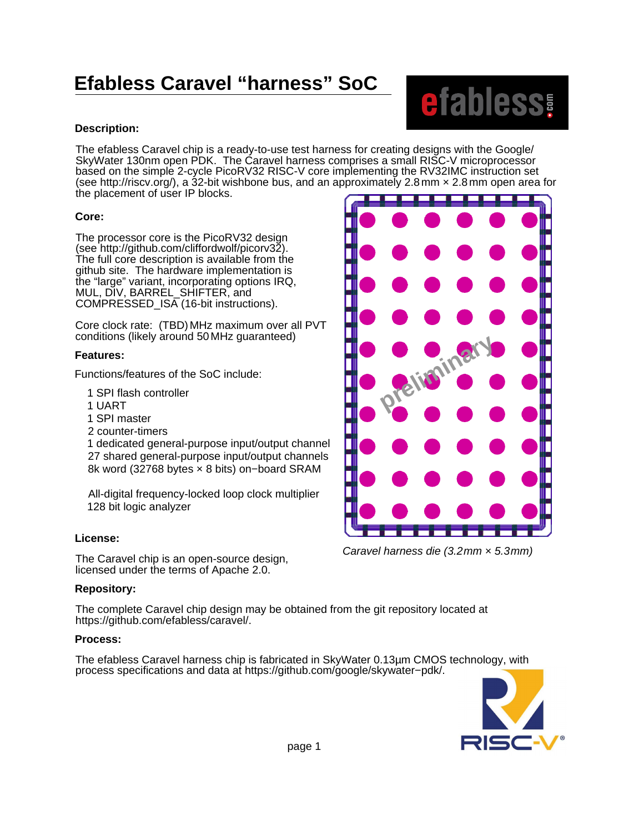# **Efabless Caravel "harness" SoC**

### **Description:**

The efabless Caravel chip is a ready-to-use test harness for creating designs with the Google/ SkyWater 130nm open PDK. The Caravel harness comprises a small RISC-V microprocessor based on the simple 2-cycle PicoRV32 RISC-V core implementing the RV32IMC instruction set (see http://riscv.org/), a 32-bit wishbone bus, and an approximately 2.8mm × 2.8mm open area for the placement of user IP blocks.

### **Core:**

The processor core is the PicoRV32 design (see http://github.com/cliffordwolf/picorv32). The full core description is available from the github site. The hardware implementation is the "large" variant, incorporating options IRQ, MUL, DIV, BARREL\_SHIFTER, and COMPRESSED\_ISA (16-bit instructions).

Core clock rate: (TBD)MHz maximum over all PVT conditions (likely around 50MHz guaranteed)

### **Features:**

Functions/features of the SoC include:

- 1 SPI flash controller
- 1 UART
- 1 SPI master
- 2 counter-timers

27 shared general-purpose input/output channels 8k word (32768 bytes × 8 bits) on−board SRAM 1 dedicated general-purpose input/output channel

All-digital frequency-locked loop clock multiplier 128 bit logic analyzer

### **License:**

The Caravel chip is an open-source design, licensed under the terms of Apache 2.0.

### **Repository:**

The complete Caravel chip design may be obtained from the git repository located at https://github.com/efabless/caravel/.

### **Process:**

The efabless Caravel harness chip is fabricated in SkyWater 0.13µm CMOS technology, with process specifications and data at https://github.com/google/skywater−pdk/.



Caravel harness die (3.2mm × 5.3mm)

**preliginary** 



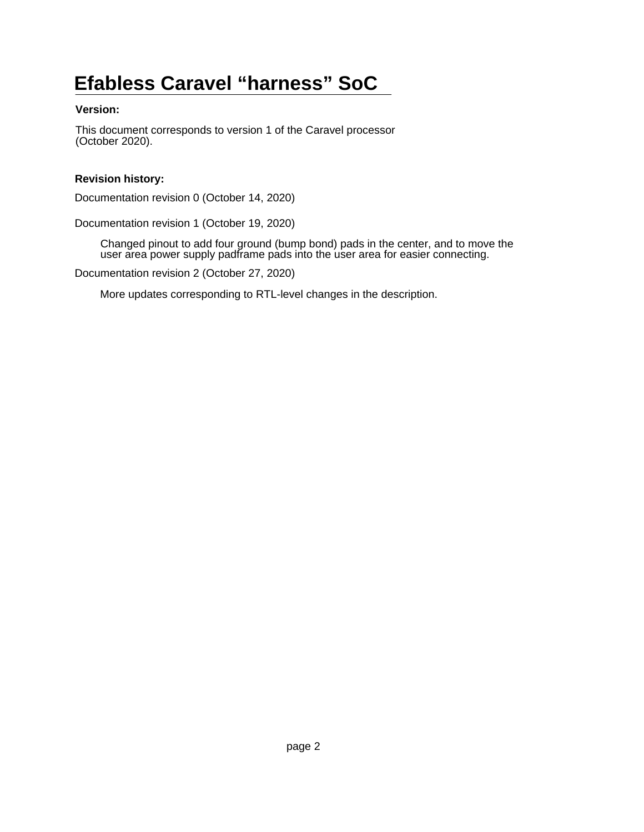# **Efabless Caravel "harness" SoC**

### **Version:**

This document corresponds to version 1 of the Caravel processor (October 2020).

### **Revision history:**

Documentation revision 0 (October 14, 2020)

Documentation revision 1 (October 19, 2020)

Changed pinout to add four ground (bump bond) pads in the center, and to move the user area power supply padframe pads into the user area for easier connecting.

Documentation revision 2 (October 27, 2020)

More updates corresponding to RTL-level changes in the description.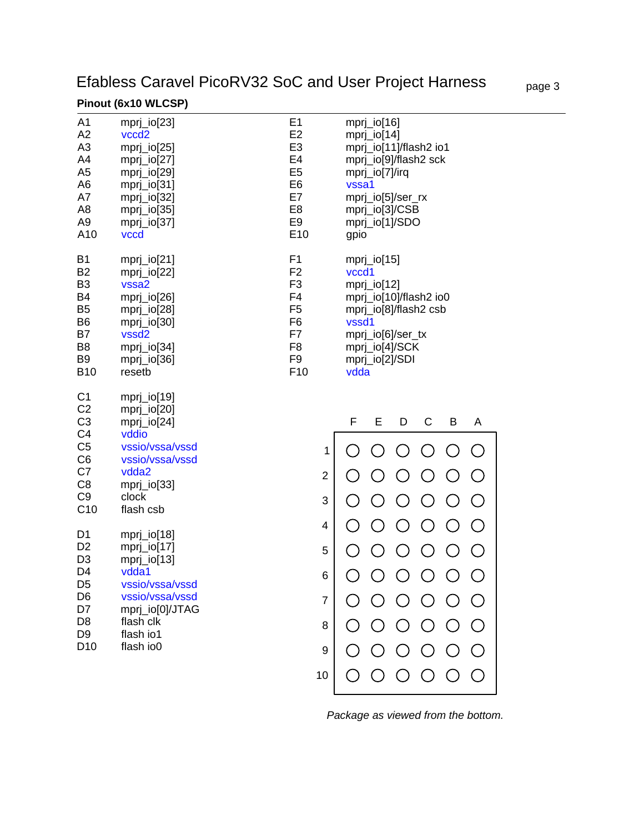# Efabless Caravel PicoRV32 SoC and User Project Harness page 3

### **Pinout (6x10 WLCSP)**

| A <sub>1</sub><br>A2<br>A <sub>3</sub><br>A4<br>A <sub>5</sub><br>A <sub>6</sub><br>A7<br>A <sub>8</sub><br>A <sub>9</sub><br>A10                             | $mpr$ <i>j_io</i> [23]<br>vccd <sub>2</sub><br>$mpr$ <i>j_io</i> [25]<br>$mpr$ <i>j_io</i> [27]<br>$mpr$ <i>j_io</i> [29]<br>$mpr$ <i>j_io</i> [31]<br>$mpr$ <i>j_io</i> [32]<br>$mpr$ <i>j_io</i> [35]<br>$mpr$ <i>j_io</i> [37]<br>vccd | E <sub>1</sub><br>E <sub>2</sub><br>E <sub>3</sub><br>E <sub>4</sub><br>E <sub>5</sub><br>E <sub>6</sub><br>E7<br>E <sub>8</sub><br>E <sub>9</sub><br>E10             | $mpr$ <i>j_io</i> [16]<br>$mpr$ <i>j_io</i> [14]<br>mprj_io[11]/flash2 io1<br>mprj_io[9]/flash2 sck<br>mprj_io[7]/irq<br>vssa1<br>mprj_io[5]/ser_rx<br>mprj_io[3]/CSB<br>mprj_io[1]/SDO<br>gpio |
|---------------------------------------------------------------------------------------------------------------------------------------------------------------|-------------------------------------------------------------------------------------------------------------------------------------------------------------------------------------------------------------------------------------------|-----------------------------------------------------------------------------------------------------------------------------------------------------------------------|-------------------------------------------------------------------------------------------------------------------------------------------------------------------------------------------------|
| <b>B1</b><br><b>B2</b><br>B <sub>3</sub><br>B <sub>4</sub><br>B <sub>5</sub><br>B <sub>6</sub><br><b>B7</b><br>B <sub>8</sub><br>B <sub>9</sub><br><b>B10</b> | $mpr$ <i>j</i> _io[21]<br>$mpr$ <i>j_io</i> [22]<br>vssa2<br>$mpr$ <i>j_io</i> [26]<br>$mpr$ <i>j_io</i> [28]<br>$mpr$ <i>j_io</i> [30]<br>vssd <sub>2</sub><br>$mpr$ <i>j_io</i> [34]<br>$mpr$ <i>j_io</i> [36]<br>resetb                | F <sub>1</sub><br>F <sub>2</sub><br>F <sub>3</sub><br>F <sub>4</sub><br>F <sub>5</sub><br>F <sub>6</sub><br>F7<br>F <sub>8</sub><br>F <sub>9</sub><br>F <sub>10</sub> | $mpr$ <i>j_io</i> [15]<br>vccd1<br>$mpr$ <i>j_io</i> [12]<br>mprj_io[10]/flash2 io0<br>mprj_io[8]/flash2 csb<br>vssd1<br>mprj_io[6]/ser_tx<br>mprj_io[4]/SCK<br>mprj_io[2]/SDI<br>vdda          |
| C <sub>1</sub><br>C <sub>2</sub><br>C <sub>3</sub><br>C <sub>4</sub><br>C <sub>5</sub><br>C <sub>6</sub><br>C7<br>C <sub>8</sub><br>C <sub>9</sub><br>C10     | $mpr$ <i>i</i> o <sup>[19]</sup><br>$mpr$ <i>j_io</i> [20]<br>$mpr$ <i>j_io</i> [24]<br>vddio<br>vssio/vssa/vssd<br>vssio/vssa/vssd<br>vdda2<br>$mpr$ <i>j_io</i> [33]<br>clock<br>flash csb                                              | 1<br>$\overline{2}$<br>3                                                                                                                                              | F<br>Е<br>C<br>B<br>D<br>Α<br>◯<br>$(\ )$<br>$\left( \begin{array}{c} \lambda \end{array} \right)$<br>$\left(\begin{array}{c} 1 \end{array}\right)$<br>◯<br>$(\ )$                              |
| D <sub>1</sub><br>D <sub>2</sub><br>D <sub>3</sub><br>D <sub>4</sub><br>D5<br>D <sub>6</sub><br>D7<br>D <sub>8</sub><br>D <sub>9</sub><br>D <sub>10</sub>     | $mpr$ <i>j</i> _io[18]<br>mprj_io[17]<br>mprj_io[13]<br>vdda1<br>yssio/yssa/yssd<br>vssio/vssa/vssd<br>mprj_io[0]/JTAG<br>flash clk<br>flash io1<br>flash io0                                                                             | 4<br>5<br>6<br>7<br>8<br>9<br>10                                                                                                                                      | ◯<br>$\left(\begin{array}{c} 1 \end{array}\right)$<br>◯<br>$\Box$<br>◯<br>$(\ )$<br>$\bigcap$<br>$\bigcap$<br>$\left(\begin{array}{c} \end{array}\right)$<br>$\bigcirc$                         |
|                                                                                                                                                               |                                                                                                                                                                                                                                           |                                                                                                                                                                       |                                                                                                                                                                                                 |

Package as viewed from the bottom.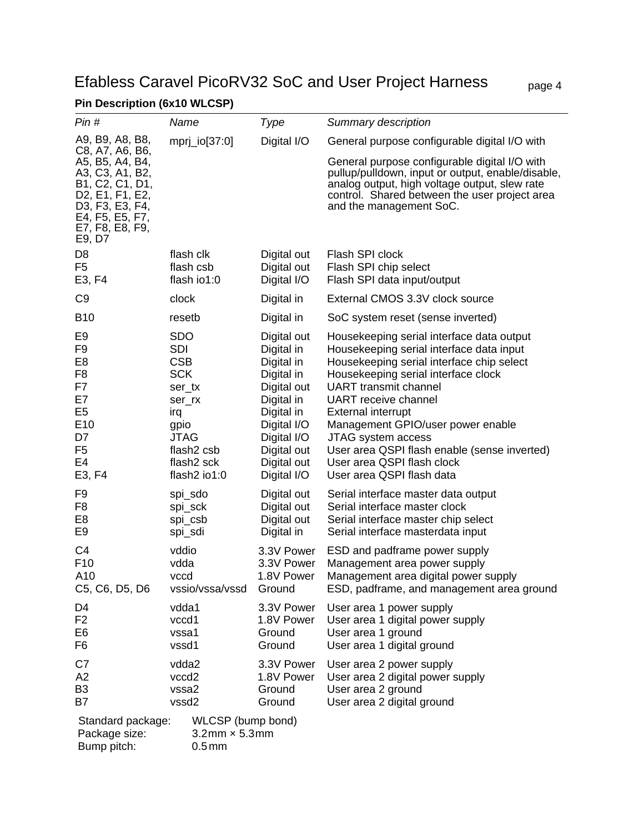# Efabless Caravel PicoRV32 SoC and User Project Harness page 4

### **Pin Description (6x10 WLCSP)**

| Pin#                                                                                                                                                                                            | Name                                                                                                                                                                       | Type                                                                                                                                                                        | Summary description                                                                                                                                                                                                                                                                                                                                                                                                           |
|-------------------------------------------------------------------------------------------------------------------------------------------------------------------------------------------------|----------------------------------------------------------------------------------------------------------------------------------------------------------------------------|-----------------------------------------------------------------------------------------------------------------------------------------------------------------------------|-------------------------------------------------------------------------------------------------------------------------------------------------------------------------------------------------------------------------------------------------------------------------------------------------------------------------------------------------------------------------------------------------------------------------------|
| A9, B9, A8, B8,<br>C8, A7, A6, B6,                                                                                                                                                              | mprj.io[37:0]                                                                                                                                                              | Digital I/O                                                                                                                                                                 | General purpose configurable digital I/O with                                                                                                                                                                                                                                                                                                                                                                                 |
| A5, B5, A4, B4,<br>A3, C3, A1, B2,<br>B1, C2, C1, D1,<br>D <sub>2</sub> , E <sub>1</sub> , F <sub>1</sub> , E <sub>2</sub> ,<br>D3, F3, E3, F4,<br>E4, F5, E5, F7,<br>E7, F8, E8, F9,<br>E9, D7 |                                                                                                                                                                            |                                                                                                                                                                             | General purpose configurable digital I/O with<br>pullup/pulldown, input or output, enable/disable,<br>analog output, high voltage output, slew rate<br>control. Shared between the user project area<br>and the management SoC.                                                                                                                                                                                               |
| D <sub>8</sub><br>F <sub>5</sub><br>E3, F4                                                                                                                                                      | flash clk<br>flash csb<br>flash io1:0                                                                                                                                      | Digital out<br>Digital out<br>Digital I/O                                                                                                                                   | Flash SPI clock<br>Flash SPI chip select<br>Flash SPI data input/output                                                                                                                                                                                                                                                                                                                                                       |
| C <sub>9</sub>                                                                                                                                                                                  | clock                                                                                                                                                                      | Digital in                                                                                                                                                                  | External CMOS 3.3V clock source                                                                                                                                                                                                                                                                                                                                                                                               |
| <b>B10</b>                                                                                                                                                                                      | resetb                                                                                                                                                                     | Digital in                                                                                                                                                                  | SoC system reset (sense inverted)                                                                                                                                                                                                                                                                                                                                                                                             |
| E <sub>9</sub><br>F <sub>9</sub><br>E <sub>8</sub><br>F8<br>F7<br>E7<br>E <sub>5</sub><br>E <sub>10</sub><br>D7<br>F <sub>5</sub><br>E4<br>E3, F4                                               | <b>SDO</b><br><b>SDI</b><br><b>CSB</b><br><b>SCK</b><br>ser_tx<br>ser_rx<br>irq<br>gpio<br><b>JTAG</b><br>flash <sub>2</sub> csb<br>flash <sub>2</sub> sck<br>flash2 io1:0 | Digital out<br>Digital in<br>Digital in<br>Digital in<br>Digital out<br>Digital in<br>Digital in<br>Digital I/O<br>Digital I/O<br>Digital out<br>Digital out<br>Digital I/O | Housekeeping serial interface data output<br>Housekeeping serial interface data input<br>Housekeeping serial interface chip select<br>Housekeeping serial interface clock<br><b>UART</b> transmit channel<br>UART receive channel<br>External interrupt<br>Management GPIO/user power enable<br>JTAG system access<br>User area QSPI flash enable (sense inverted)<br>User area QSPI flash clock<br>User area QSPI flash data |
| F9<br>F8<br>E8<br>E <sub>9</sub>                                                                                                                                                                | spi_sdo<br>spi_sck<br>spi_csb<br>spi_sdi                                                                                                                                   | Digital out<br>Digital out<br>Digital out<br>Digital in                                                                                                                     | Serial interface master data output<br>Serial interface master clock<br>Serial interface master chip select<br>Serial interface masterdata input                                                                                                                                                                                                                                                                              |
| C <sub>4</sub><br>F <sub>10</sub><br>A <sub>10</sub><br>C5, C6, D5, D6                                                                                                                          | vddio<br>vdda<br>vccd<br>vssio/vssa/vssd                                                                                                                                   | 3.3V Power<br>3.3V Power<br>1.8V Power<br>Ground                                                                                                                            | ESD and padframe power supply<br>Management area power supply<br>Management area digital power supply<br>ESD, padframe, and management area ground                                                                                                                                                                                                                                                                            |
| D <sub>4</sub><br>F <sub>2</sub><br>E <sub>6</sub><br>F6                                                                                                                                        | vdda1<br>vccd1<br>vssa1<br>vssd1                                                                                                                                           | 3.3V Power<br>1.8V Power<br>Ground<br>Ground                                                                                                                                | User area 1 power supply<br>User area 1 digital power supply<br>User area 1 ground<br>User area 1 digital ground                                                                                                                                                                                                                                                                                                              |
| C7<br>A2<br>B <sub>3</sub><br>B7                                                                                                                                                                | vdda2<br>vccd <sub>2</sub><br>vssa2<br>vssd2                                                                                                                               | 3.3V Power<br>1.8V Power<br>Ground<br>Ground                                                                                                                                | User area 2 power supply<br>User area 2 digital power supply<br>User area 2 ground<br>User area 2 digital ground                                                                                                                                                                                                                                                                                                              |
| Standard package:<br>Package size:<br>Bump pitch:                                                                                                                                               | WLCSP (bump bond)<br>$3.2$ mm $\times$ 5.3mm<br>0.5 <sub>mm</sub>                                                                                                          |                                                                                                                                                                             |                                                                                                                                                                                                                                                                                                                                                                                                                               |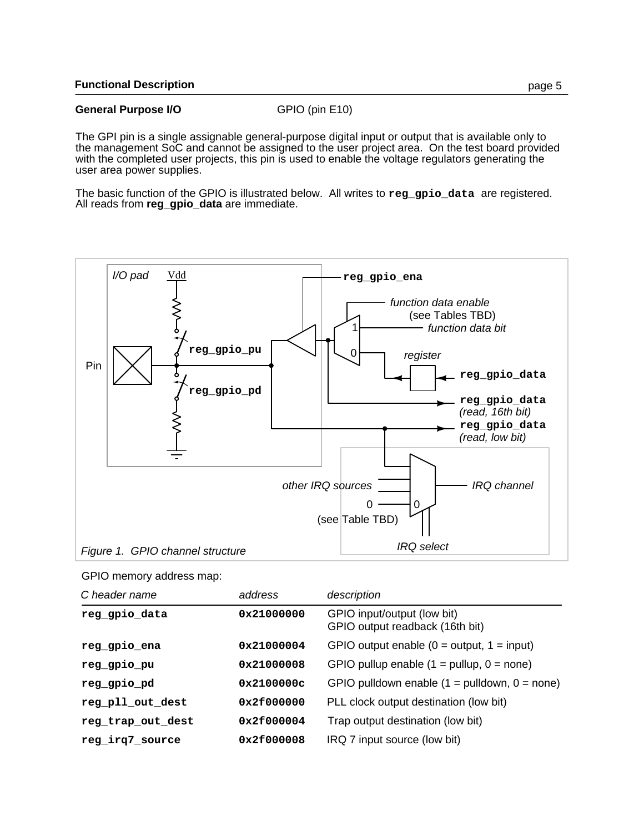#### General Purpose I/O<br>
GPIO (pin E10)

The GPI pin is a single assignable general-purpose digital input or output that is available only to the management SoC and cannot be assigned to the user project area. On the test board provided with the completed user projects, this pin is used to enable the voltage regulators generating the user area power supplies.

The basic function of the GPIO is illustrated below. All writes to **reg\_gpio\_data** are registered. All reads from **reg\_gpio\_data** are immediate.



| C header name     | address    | description                                                    |
|-------------------|------------|----------------------------------------------------------------|
| reg_gpio_data     | 0x21000000 | GPIO input/output (low bit)<br>GPIO output readback (16th bit) |
| reg_gpio_ena      | 0x21000004 | GPIO output enable $(0 = output, 1 = input)$                   |
| reg_gpio_pu       | 0x21000008 | GPIO pullup enable $(1 =$ pullup, $0 =$ none)                  |
| reg_gpio_pd       | 0x2100000c | GPIO pulldown enable $(1 =$ pulldown, $0 =$ none)              |
| reg_pll_out_dest  | 0x2f000000 | PLL clock output destination (low bit)                         |
| reg_trap_out_dest | 0x2f000004 | Trap output destination (low bit)                              |
| reg_irq7_source   | 0x2f000008 | IRQ 7 input source (low bit)                                   |

GPIO memory address map: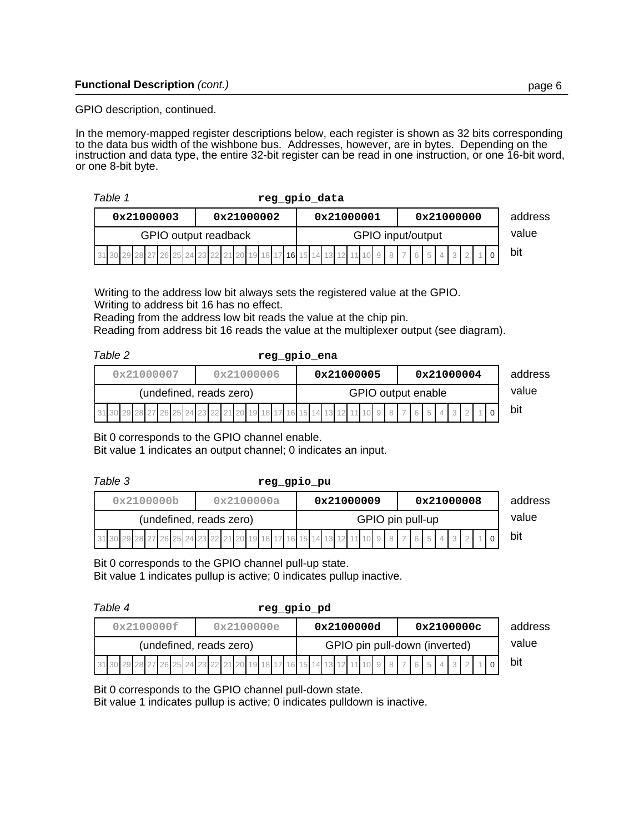### GPIO description, continued.

In the memory-mapped register descriptions below, each register is shown as 32 bits corresponding to the data bus width of the wishbone bus. Addresses, however, are in bytes. Depending on the instruction and data type, the entire 32-bit register can be read in one instruction, or one 16-bit word, or one 8-bit byte.

| Table 1                                                    | reg gpio data |  |  |  |  |  |  |  |                   |  |  |                          |  |  |  |       |  |  |  |  |  |  |  |         |     |
|------------------------------------------------------------|---------------|--|--|--|--|--|--|--|-------------------|--|--|--------------------------|--|--|--|-------|--|--|--|--|--|--|--|---------|-----|
| 0x21000003<br>0x21000002                                   |               |  |  |  |  |  |  |  |                   |  |  | 0x21000000<br>0x21000001 |  |  |  |       |  |  |  |  |  |  |  | address |     |
| GPIO output readback                                       |               |  |  |  |  |  |  |  | GPIO input/output |  |  |                          |  |  |  | value |  |  |  |  |  |  |  |         |     |
| $31302928272625242322120191817161514131211109877654321210$ |               |  |  |  |  |  |  |  |                   |  |  |                          |  |  |  |       |  |  |  |  |  |  |  |         | bit |

Writing to the address low bit always sets the registered value at the GPIO. Writing to address bit 16 has no effect.

Reading from the address low bit reads the value at the chip pin.

Reading from address bit 16 reads the value at the multiplexer output (see diagram).

| Table 2<br>reg gpio ena |                                                                         |            |                    |         |  |  |  |  |  |  |  |  |  |  |
|-------------------------|-------------------------------------------------------------------------|------------|--------------------|---------|--|--|--|--|--|--|--|--|--|--|
| 0x21000007              | 0x21000006                                                              | 0x21000005 | 0x21000004         | address |  |  |  |  |  |  |  |  |  |  |
|                         | (undefined, reads zero)                                                 |            | GPIO output enable | value   |  |  |  |  |  |  |  |  |  |  |
|                         | 31 30 29 28 27 26 25 24 23 22 21 20 19 18 17 16 15 14 13 12 11 10 9 8 7 |            |                    | bit     |  |  |  |  |  |  |  |  |  |  |

Bit 0 corresponds to the GPIO channel enable.

Bit value 1 indicates an output channel; 0 indicates an input.

| Table 3                                                                     | reg_gpio_pu             |                  |            |         |  |  |  |  |  |  |  |  |  |  |  |
|-----------------------------------------------------------------------------|-------------------------|------------------|------------|---------|--|--|--|--|--|--|--|--|--|--|--|
| 0x2100000b                                                                  | 0x2100000a              | 0x21000009       | 0x21000008 | address |  |  |  |  |  |  |  |  |  |  |  |
|                                                                             | (undefined, reads zero) | GPIO pin pull-up | value      |         |  |  |  |  |  |  |  |  |  |  |  |
| 31 30 29 28 27 26 25 24 23 22 21 20 19 18 17 16 15 14 13 12 11 10 9 8 7 6 5 |                         |                  |            | bit     |  |  |  |  |  |  |  |  |  |  |  |

Bit 0 corresponds to the GPIO channel pull-up state.

Bit value 1 indicates pullup is active; 0 indicates pullup inactive.

| Table 4<br>reg gpio pd                                                               |                                                          |            |            |         |  |  |  |  |  |  |  |  |  |  |  |
|--------------------------------------------------------------------------------------|----------------------------------------------------------|------------|------------|---------|--|--|--|--|--|--|--|--|--|--|--|
| 0x2100000f                                                                           | 0x2100000e                                               | 0x2100000d | 0x2100000c | address |  |  |  |  |  |  |  |  |  |  |  |
|                                                                                      | (undefined, reads zero)<br>GPIO pin pull-down (inverted) |            |            |         |  |  |  |  |  |  |  |  |  |  |  |
| $[31]30]29]28[27]26[25]24[23]22[21]20]19[18]17[16]15[14]13]12[11]10]9[8]7[6]5[4]32]$ |                                                          |            |            | bit     |  |  |  |  |  |  |  |  |  |  |  |

Bit 0 corresponds to the GPIO channel pull-down state.

Bit value 1 indicates pullup is active; 0 indicates pulldown is inactive.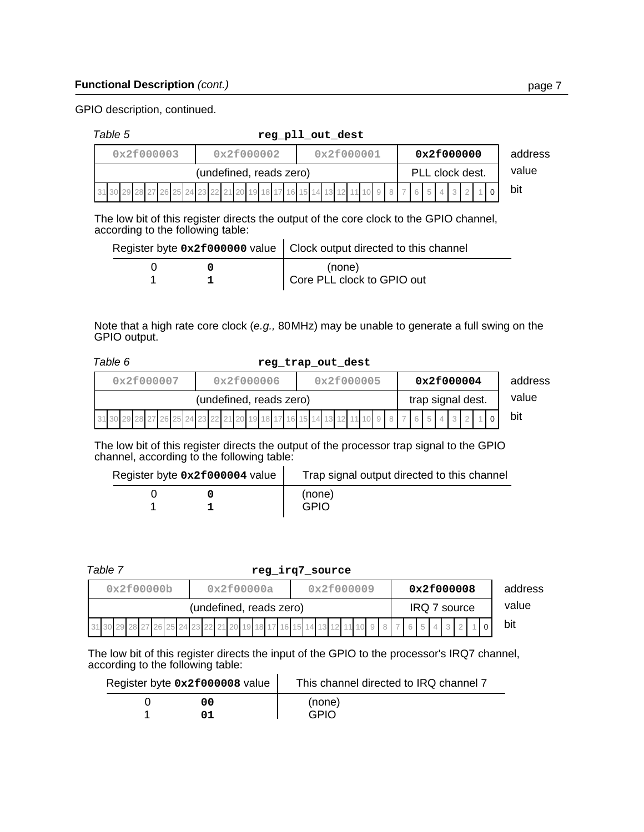GPIO description, continued.

| Table 5<br>reg pll out dest |                                                                                                                                                   |         |  |     |  |  |  |  |  |  |  |  |  |  |  |
|-----------------------------|---------------------------------------------------------------------------------------------------------------------------------------------------|---------|--|-----|--|--|--|--|--|--|--|--|--|--|--|
| 0x2f000003                  | 0x2f000000                                                                                                                                        | address |  |     |  |  |  |  |  |  |  |  |  |  |  |
|                             | (undefined, reads zero)<br>PLL clock dest.                                                                                                        |         |  |     |  |  |  |  |  |  |  |  |  |  |  |
|                             | $3130$ $29$ $28$ $27$ $26$ $25$ $24$ $23$ $22$ $21$ $20$ $19$ $18$ $17$ $16$ $15$ $14$ $13$ $12$ $11$ $10$ $9$ $18$ $17$ $16$ $15$ $14$ $13$ $12$ |         |  | bit |  |  |  |  |  |  |  |  |  |  |  |

The low bit of this register directs the output of the core clock to the GPIO channel, according to the following table:

|  | Register byte 0x2f000000 value   Clock output directed to this channel |
|--|------------------------------------------------------------------------|
|  | (none)<br>Core PLL clock to GPIO out                                   |
|  |                                                                        |

Note that a high rate core clock (e.g., 80MHz) may be unable to generate a full swing on the GPIO output.

| Table 6<br>reg trap out dest                                                      |                                              |         |  |     |  |  |  |  |  |  |  |  |  |  |  |
|-----------------------------------------------------------------------------------|----------------------------------------------|---------|--|-----|--|--|--|--|--|--|--|--|--|--|--|
| 0x2f000007                                                                        | 0x2f000004                                   | address |  |     |  |  |  |  |  |  |  |  |  |  |  |
|                                                                                   | (undefined, reads zero)<br>trap signal dest. |         |  |     |  |  |  |  |  |  |  |  |  |  |  |
| 31 30 29 28 27 26 25 24 23 22 21 20 19 18 17 16 15 14 13 12 11 10 9 8 7 6 5 4 3 2 |                                              |         |  | bit |  |  |  |  |  |  |  |  |  |  |  |

The low bit of this register directs the output of the processor trap signal to the GPIO channel, according to the following table:

| Register byte 0x2f000004 value | Trap signal output directed to this channel |
|--------------------------------|---------------------------------------------|
|                                | (none)                                      |
|                                | <b>GPIO</b>                                 |

| Table 7<br>reg irg7 source              |  |  |  |  |  |  |                                                                                   |  |  |  |  |  |  |            |  |       |  |  |  |  |  |         |  |  |  |  |  |  |  |  |  |  |     |
|-----------------------------------------|--|--|--|--|--|--|-----------------------------------------------------------------------------------|--|--|--|--|--|--|------------|--|-------|--|--|--|--|--|---------|--|--|--|--|--|--|--|--|--|--|-----|
| 0x2f00000a<br>0x2f000009<br>0x2f00000b  |  |  |  |  |  |  |                                                                                   |  |  |  |  |  |  | 0x2f000008 |  |       |  |  |  |  |  | address |  |  |  |  |  |  |  |  |  |  |     |
| (undefined, reads zero)<br>IRQ 7 source |  |  |  |  |  |  |                                                                                   |  |  |  |  |  |  |            |  | value |  |  |  |  |  |         |  |  |  |  |  |  |  |  |  |  |     |
|                                         |  |  |  |  |  |  | 31 30 29 28 27 26 25 24 23 22 21 20 19 18 17 16 15 14 13 12 11 10 9 8 7 6 5 4 5 2 |  |  |  |  |  |  |            |  |       |  |  |  |  |  |         |  |  |  |  |  |  |  |  |  |  | bit |

The low bit of this register directs the input of the GPIO to the processor's IRQ7 channel, according to the following table:

| Register byte 0x2f000008 value | This channel directed to IRQ channel 7 |
|--------------------------------|----------------------------------------|
|                                | (none)<br>GPIO                         |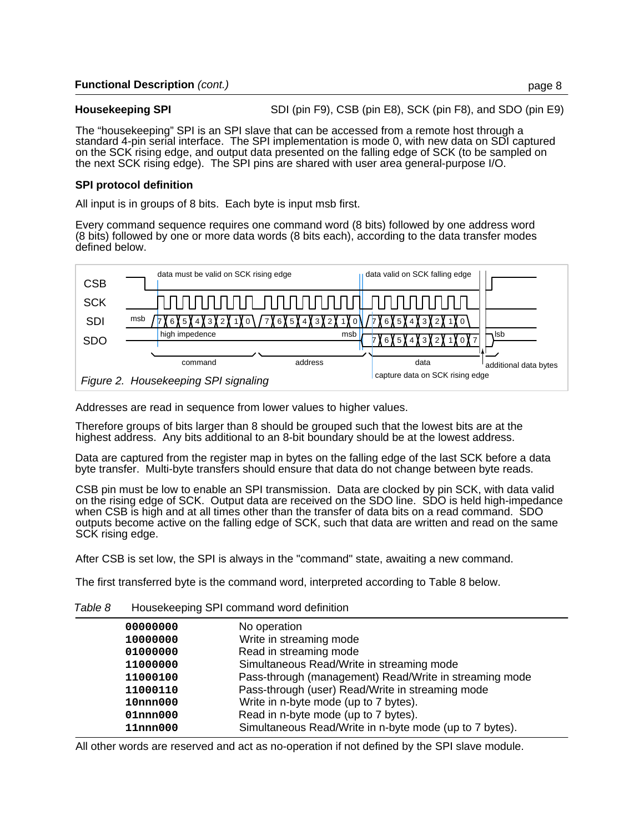#### **Functional Description** (cont.)

**Housekeeping SPI** SDI (pin F9), CSB (pin E8), SCK (pin F8), and SDO (pin E9)

The "housekeeping" SPI is an SPI slave that can be accessed from a remote host through a standard 4-pin serial interface. The SPI implementation is mode 0, with new data on SDI captured on the SCK rising edge, and output data presented on the falling edge of SCK (to be sampled on the next SCK rising edge). The SPI pins are shared with user area general-purpose I/O.

#### **SPI protocol definition**

All input is in groups of 8 bits. Each byte is input msb first.

Every command sequence requires one command word (8 bits) followed by one address word (8 bits) followed by one or more data words (8 bits each), according to the data transfer modes defined below.



Addresses are read in sequence from lower values to higher values.

Therefore groups of bits larger than 8 should be grouped such that the lowest bits are at the highest address. Any bits additional to an 8-bit boundary should be at the lowest address.

Data are captured from the register map in bytes on the falling edge of the last SCK before a data byte transfer. Multi-byte transfers should ensure that data do not change between byte reads.

CSB pin must be low to enable an SPI transmission. Data are clocked by pin SCK, with data valid on the rising edge of SCK. Output data are received on the SDO line. SDO is held high-impedance when CSB is high and at all times other than the transfer of data bits on a read command. SDO outputs become active on the falling edge of SCK, such that data are written and read on the same SCK rising edge.

After CSB is set low, the SPI is always in the "command" state, awaiting a new command.

The first transferred byte is the command word, interpreted according to Table 8 below.

| 00000000       | No operation                                            |
|----------------|---------------------------------------------------------|
| 10000000       | Write in streaming mode                                 |
| 01000000       | Read in streaming mode                                  |
| 11000000       | Simultaneous Read/Write in streaming mode               |
| 11000100       | Pass-through (management) Read/Write in streaming mode  |
| 11000110       | Pass-through (user) Read/Write in streaming mode        |
| $10$ nnn $000$ | Write in n-byte mode (up to 7 bytes).                   |
| $01$ nnn $000$ | Read in n-byte mode (up to 7 bytes).                    |
| 11nnn000       | Simultaneous Read/Write in n-byte mode (up to 7 bytes). |
|                |                                                         |

Table 8 Housekeeping SPI command word definition

All other words are reserved and act as no-operation if not defined by the SPI slave module.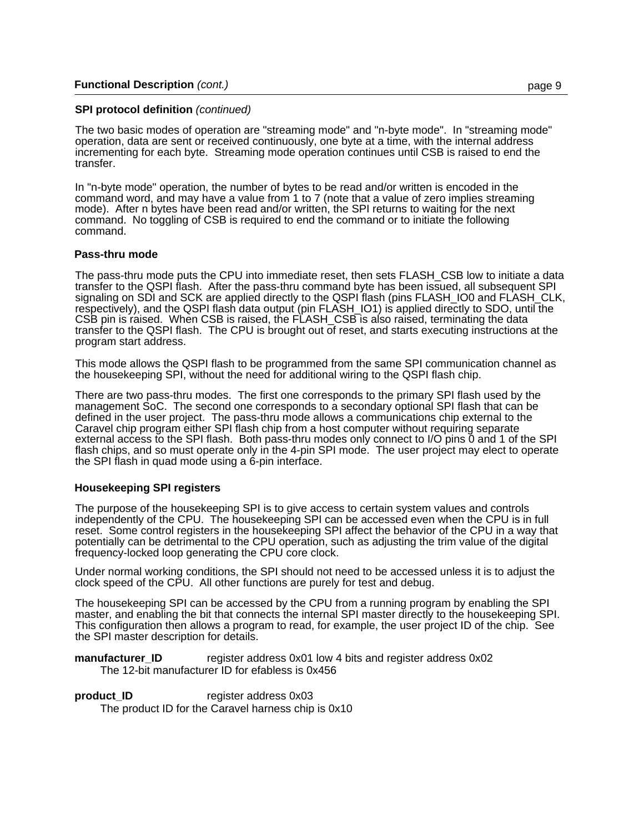#### **SPI protocol definition** (continued)

The two basic modes of operation are "streaming mode" and "n-byte mode". In "streaming mode" operation, data are sent or received continuously, one byte at a time, with the internal address incrementing for each byte. Streaming mode operation continues until CSB is raised to end the transfer.

In "n-byte mode" operation, the number of bytes to be read and/or written is encoded in the command word, and may have a value from 1 to 7 (note that a value of zero implies streaming mode). After n bytes have been read and/or written, the SPI returns to waiting for the next command. No toggling of CSB is required to end the command or to initiate the following command.

### **Pass-thru mode**

The pass-thru mode puts the CPU into immediate reset, then sets FLASH\_CSB low to initiate a data transfer to the QSPI flash. After the pass-thru command byte has been issued, all subsequent SPI signaling on SDI and SCK are applied directly to the QSPI flash (pins FLASH\_IO0 and FLASH\_CLK, respectively), and the QSPI flash data output (pin FLASH\_IO1) is applied directly to SDO, until the CSB pin is raised. When CSB is raised, the FLASH\_CSB is also raised, terminating the data transfer to the QSPI flash. The CPU is brought out of reset, and starts executing instructions at the program start address.

This mode allows the QSPI flash to be programmed from the same SPI communication channel as the housekeeping SPI, without the need for additional wiring to the QSPI flash chip.

There are two pass-thru modes. The first one corresponds to the primary SPI flash used by the management SoC. The second one corresponds to a secondary optional SPI flash that can be defined in the user project. The pass-thru mode allows a communications chip external to the Caravel chip program either SPI flash chip from a host computer without requiring separate external access to the SPI flash. Both pass-thru modes only connect to I/O pins 0 and 1 of the SPI flash chips, and so must operate only in the 4-pin SPI mode. The user project may elect to operate the SPI flash in quad mode using a 6-pin interface.

### **Housekeeping SPI registers**

The purpose of the housekeeping SPI is to give access to certain system values and controls independently of the CPU. The housekeeping SPI can be accessed even when the CPU is in full reset. Some control registers in the housekeeping SPI affect the behavior of the CPU in a way that potentially can be detrimental to the CPU operation, such as adjusting the trim value of the digital frequency-locked loop generating the CPU core clock.

Under normal working conditions, the SPI should not need to be accessed unless it is to adjust the clock speed of the CPU. All other functions are purely for test and debug.

The housekeeping SPI can be accessed by the CPU from a running program by enabling the SPI master, and enabling the bit that connects the internal SPI master directly to the housekeeping SPI. This configuration then allows a program to read, for example, the user project ID of the chip. See the SPI master description for details.

**manufacturer\_ID** The 12-bit manufacturer ID for efabless is 0x456 register address 0x01 low 4 bits and register address 0x02

**product\_ID** The product ID for the Caravel harness chip is 0x10 register address 0x03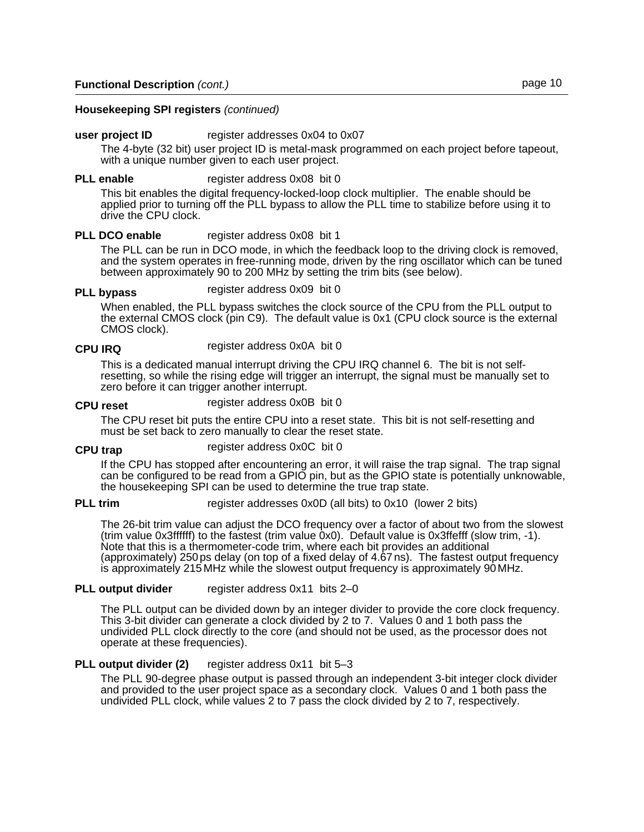#### **Housekeeping SPI registers** (continued)

#### **user project ID** register addresses 0x04 to 0x07

The 4-byte (32 bit) user project ID is metal-mask programmed on each project before tapeout, with a unique number given to each user project.

#### **PLL enable** register address 0x08 bit 0

This bit enables the digital frequency-locked-loop clock multiplier. The enable should be applied prior to turning off the PLL bypass to allow the PLL time to stabilize before using it to drive the CPU clock.

#### **PLL DCO enable** register address 0x08 bit 1

The PLL can be run in DCO mode, in which the feedback loop to the driving clock is removed, and the system operates in free-running mode, driven by the ring oscillator which can be tuned between approximately 90 to 200 MHz by setting the trim bits (see below).

#### **PLL bypass** register address 0x09 bit 0

When enabled, the PLL bypass switches the clock source of the CPU from the PLL output to the external CMOS clock (pin C9). The default value is 0x1 (CPU clock source is the external CMOS clock).

#### **CPU IRQ** register address 0x0A bit 0

This is a dedicated manual interrupt driving the CPU IRQ channel 6. The bit is not selfresetting, so while the rising edge will trigger an interrupt, the signal must be manually set to zero before it can trigger another interrupt.

#### **CPU reset**

register address 0x0B bit 0

The CPU reset bit puts the entire CPU into a reset state. This bit is not self-resetting and must be set back to zero manually to clear the reset state.

#### **CPU trap** register address 0x0C bit 0

If the CPU has stopped after encountering an error, it will raise the trap signal. The trap signal can be configured to be read from a GPIO pin, but as the GPIO state is potentially unknowable, the housekeeping SPI can be used to determine the true trap state.

#### **PLL trim** register addresses 0x0D (all bits) to 0x10 (lower 2 bits)

The 26-bit trim value can adjust the DCO frequency over a factor of about two from the slowest (trim value 0x3ffffff) to the fastest (trim value 0x0). Default value is 0x3ffefff (slow trim, -1). Note that this is a thermometer-code trim, where each bit provides an additional (approximately) 250 ps delay (on top of a fixed delay of 4.67ns). The fastest output frequency is approximately 215 MHz while the slowest output frequency is approximately 90MHz.

#### **PLL output divider** register address 0x11 bits 2–0

The PLL output can be divided down by an integer divider to provide the core clock frequency. This 3-bit divider can generate a clock divided by 2 to 7. Values 0 and 1 both pass the undivided PLL clock directly to the core (and should not be used, as the processor does not operate at these frequencies).

#### **PLL output divider (2)** register address 0x11 bit 5–3

The PLL 90-degree phase output is passed through an independent 3-bit integer clock divider and provided to the user project space as a secondary clock. Values 0 and 1 both pass the undivided PLL clock, while values 2 to 7 pass the clock divided by 2 to 7, respectively.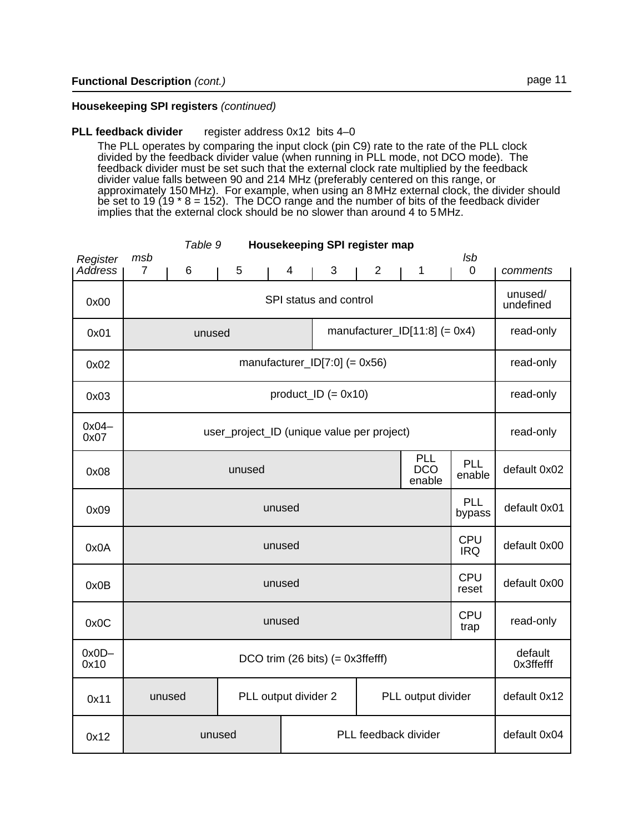### **Housekeeping SPI registers** (continued)

#### **PLL feedback divider** register address 0x12 bits 4–0

The PLL operates by comparing the input clock (pin C9) rate to the rate of the PLL clock divided by the feedback divider value (when running in PLL mode, not DCO mode). The feedback divider must be set such that the external clock rate multiplied by the feedback divider value falls between 90 and 214 MHz (preferably centered on this range, or approximately 150 MHz). For example, when using an 8MHz external clock, the divider should be set to 19 (19 \* 8 = 152). The DCO range and the number of bits of the feedback divider implies that the external clock should be no slower than around 4 to 5MHz.

|                     | Housekeeping SPI register map<br>Table 9               |                                                      |        |        |  |        |                                            |  |   |  |                |                                  |                           |                      |
|---------------------|--------------------------------------------------------|------------------------------------------------------|--------|--------|--|--------|--------------------------------------------|--|---|--|----------------|----------------------------------|---------------------------|----------------------|
| Register<br>Address | msb<br>$\overline{7}$                                  |                                                      | 6      | 5      |  |        | 4                                          |  | 3 |  | $\overline{2}$ | 1                                | <b>Isb</b><br>$\mathbf 0$ | comments             |
| 0x00                |                                                        |                                                      |        |        |  |        | SPI status and control                     |  |   |  |                |                                  |                           | unused/<br>undefined |
| 0x01                |                                                        |                                                      | unused |        |  |        |                                            |  |   |  |                | manufacturer_ID $[11:8] (= 0x4)$ |                           | read-only            |
| 0x02                |                                                        |                                                      |        |        |  |        | manufacturer_ID[7:0] $(= 0x56)$            |  |   |  |                |                                  |                           | read-only            |
| 0x03                |                                                        |                                                      |        |        |  |        | $product$ <sub>LD</sub> $(= 0x10)$         |  |   |  |                |                                  |                           | read-only            |
| $0x04-$<br>0x07     |                                                        | user_project_ID (unique value per project)           |        |        |  |        |                                            |  |   |  |                |                                  |                           | read-only            |
| 0x08                | PLL<br>PLL<br><b>DCO</b><br>unused<br>enable<br>enable |                                                      |        |        |  |        |                                            |  |   |  | default 0x02   |                                  |                           |                      |
| 0x09                |                                                        |                                                      |        |        |  | unused |                                            |  |   |  |                |                                  | PLL<br>bypass             | default 0x01         |
| 0x0A                |                                                        |                                                      |        |        |  | unused |                                            |  |   |  |                |                                  | CPU<br><b>IRQ</b>         | default 0x00         |
| 0x0B                |                                                        |                                                      |        |        |  | unused |                                            |  |   |  |                |                                  | CPU<br>reset              | default 0x00         |
| 0x0C                |                                                        |                                                      |        |        |  | unused |                                            |  |   |  |                |                                  | <b>CPU</b><br>trap        | read-only            |
| $0x0D-$<br>0x10     |                                                        | DCO trim $(26 \text{ bits})$ $(= 0x3\text{ff}$ efff) |        |        |  |        |                                            |  |   |  |                |                                  | default<br>0x3ffefff      |                      |
| 0x11                |                                                        | unused                                               |        |        |  |        | PLL output divider 2<br>PLL output divider |  |   |  |                |                                  |                           | default 0x12         |
| 0x12                |                                                        |                                                      |        | unused |  |        | PLL feedback divider                       |  |   |  |                |                                  |                           | default 0x04         |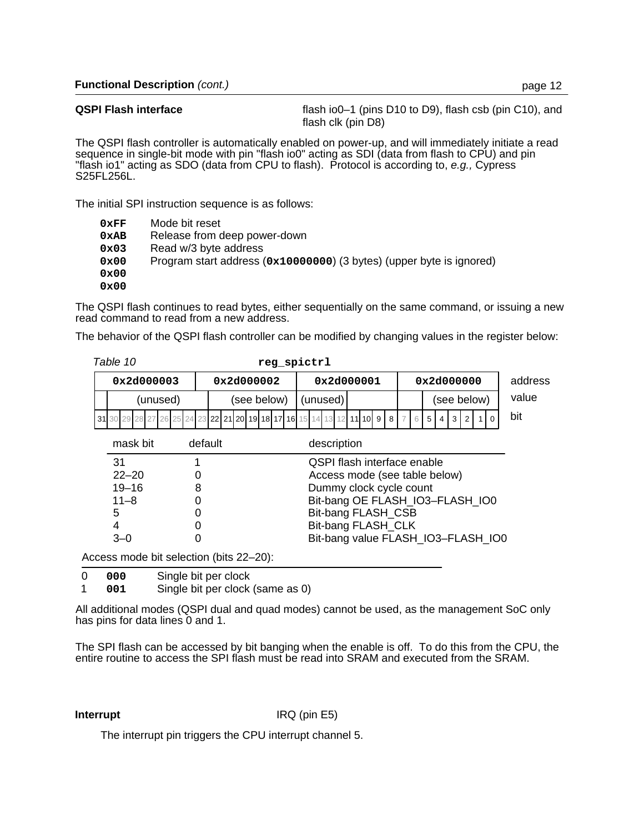**QSPI Flash interface flash io0–1** (pins D10 to D9), flash csb (pin C10), and flash clk (pin D8)

The QSPI flash controller is automatically enabled on power-up, and will immediately initiate a read sequence in single-bit mode with pin "flash io0" acting as SDI (data from flash to CPU) and pin "flash io1" acting as SDO (data from CPU to flash). Protocol is according to, e.g., Cypress S25FL256L.

The initial SPI instruction sequence is as follows:

| 0xFF | Mode bit reset                                                       |
|------|----------------------------------------------------------------------|
| 0xAB | Release from deep power-down                                         |
| 0x03 | Read w/3 byte address                                                |
| 0x00 | Program start address (0x10000000) (3 bytes) (upper byte is ignored) |
| 0x00 |                                                                      |
| 0x00 |                                                                      |

The QSPI flash continues to read bytes, either sequentially on the same command, or issuing a new read command to read from a new address.

The behavior of the QSPI flash controller can be modified by changing values in the register below:

| Table 10   | reg spictrl                                                           |                                                              |   |                     |         |  |  |  |
|------------|-----------------------------------------------------------------------|--------------------------------------------------------------|---|---------------------|---------|--|--|--|
| 0x2d000003 | 0x2d000002                                                            | 0x2d000001                                                   |   | 0x2d000000          | address |  |  |  |
| (unused)   | (see below)                                                           | (unused)                                                     |   | (see below)         | value   |  |  |  |
|            | 31 30 29 28 27 26 25 24 23 22 21 20 19 18 17 16 15 14 13 12 11 10 9 8 |                                                              | 6 | 5<br>$\cdot$ 3<br>4 | bit     |  |  |  |
| mask bit   | default                                                               | description                                                  |   |                     |         |  |  |  |
| 31         |                                                                       | QSPI flash interface enable<br>Access mode (see table below) |   |                     |         |  |  |  |
| $22 - 20$  | 0                                                                     |                                                              |   |                     |         |  |  |  |
| $19 - 16$  | 8                                                                     | Dummy clock cycle count                                      |   |                     |         |  |  |  |
| $11 - 8$   | 0                                                                     | Bit-bang OE FLASH IO3-FLASH IO0                              |   |                     |         |  |  |  |
| 5          | 0                                                                     | Bit-bang FLASH_CSB                                           |   |                     |         |  |  |  |
| 4          | 0                                                                     | Bit-bang FLASH_CLK                                           |   |                     |         |  |  |  |
| $3 - 0$    | 0                                                                     | Bit-bang value FLASH IO3-FLASH IO0                           |   |                     |         |  |  |  |
|            | Access mode bit selection (bits 22-20):                               |                                                              |   |                     |         |  |  |  |

0 **000** Single bit per clock

1 **001** Single bit per clock (same as 0)

All additional modes (QSPI dual and quad modes) cannot be used, as the management SoC only has pins for data lines 0 and 1.

The SPI flash can be accessed by bit banging when the enable is off. To do this from the CPU, the entire routine to access the SPI flash must be read into SRAM and executed from the SRAM.

**Interrupt** IRQ (pin E5)

The interrupt pin triggers the CPU interrupt channel 5.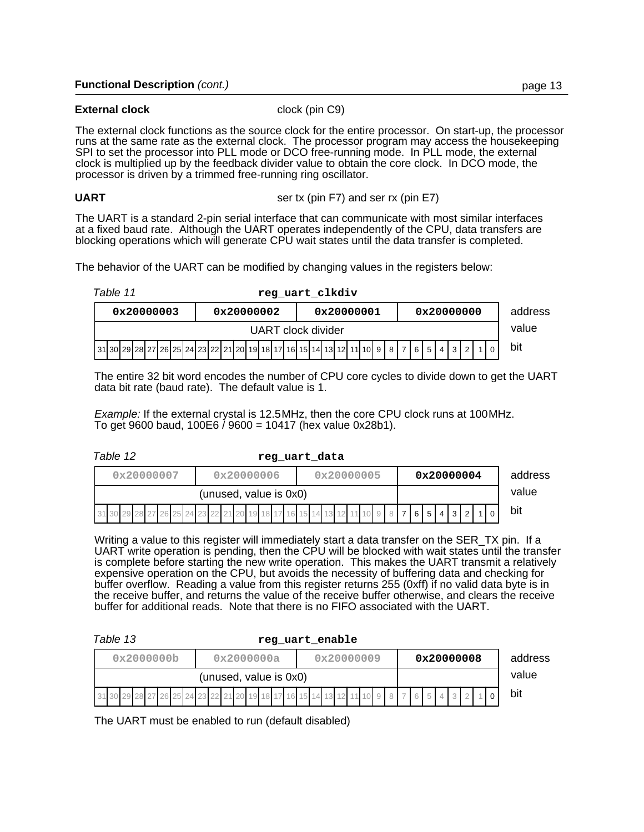#### **External clock**

clock (pin C9)

The external clock functions as the source clock for the entire processor. On start-up, the processor runs at the same rate as the external clock. The processor program may access the housekeeping SPI to set the processor into PLL mode or DCO free-running mode. In PLL mode, the external clock is multiplied up by the feedback divider value to obtain the core clock. In DCO mode, the processor is driven by a trimmed free-running ring oscillator.

**UART** Ser tx (pin F7) and ser rx (pin E7)

The UART is a standard 2-pin serial interface that can communicate with most similar interfaces at a fixed baud rate. Although the UART operates independently of the CPU, data transfers are blocking operations which will generate CPU wait states until the data transfer is completed.

The behavior of the UART can be modified by changing values in the registers below:

| Table 11                                             |  | reg_uart_clkdiv |                                                                                                                                                                                                                                                                          |     |  |  |  |  |  |  |
|------------------------------------------------------|--|-----------------|--------------------------------------------------------------------------------------------------------------------------------------------------------------------------------------------------------------------------------------------------------------------------|-----|--|--|--|--|--|--|
| 0x20000003<br>0x20000002<br>0x20000001<br>0x20000000 |  |                 |                                                                                                                                                                                                                                                                          |     |  |  |  |  |  |  |
| UART clock divider                                   |  |                 |                                                                                                                                                                                                                                                                          |     |  |  |  |  |  |  |
|                                                      |  |                 | $\left[31\right]30\left[29\right]28\left[27\right]26\left[25\right]24\left[23\right]22\left[21\right]20\left[19\right]18\left[17\right]16\left[15\right]14\left[13\right]12\left[11\right]10\left[9\right]8\left[7\right]6\left[5\right]4\left[3\right]2\left[1\right]0$ | bit |  |  |  |  |  |  |

The entire 32 bit word encodes the number of CPU core cycles to divide down to get the UART data bit rate (baud rate). The default value is 1.

Example: If the external crystal is 12.5MHz, then the core CPU clock runs at 100MHz. To get 9600 baud, 100E6 / 9600 = 10417 (hex value 0x28b1).

Table 12

**reg\_uart\_data**

| address |                                                                                         | 0x20000004 |  |  |  |  |  |  | 0x20000007<br>0x20000005<br>0x20000006 |  |  |  |  |  |  |  |  |  |  |  |  |  |  |  |  |  |  |  |
|---------|-----------------------------------------------------------------------------------------|------------|--|--|--|--|--|--|----------------------------------------|--|--|--|--|--|--|--|--|--|--|--|--|--|--|--|--|--|--|--|
| value   | (unused, value is 0x0)                                                                  |            |  |  |  |  |  |  |                                        |  |  |  |  |  |  |  |  |  |  |  |  |  |  |  |  |  |  |  |
| bit     | $[31]30]29]28[27]26[25]24[23]22[21]20]19[18]17[16]15[14]13[12]11]10]9[8]76[5]4]3[2]1]0$ |            |  |  |  |  |  |  |                                        |  |  |  |  |  |  |  |  |  |  |  |  |  |  |  |  |  |  |  |

Writing a value to this register will immediately start a data transfer on the SER\_TX pin. If a UART write operation is pending, then the CPU will be blocked with wait states until the transfer is complete before starting the new write operation. This makes the UART transmit a relatively expensive operation on the CPU, but avoids the necessity of buffering data and checking for buffer overflow. Reading a value from this register returns 255 (0xff) if no valid data byte is in the receive buffer, and returns the value of the receive buffer otherwise, and clears the receive buffer for additional reads. Note that there is no FIFO associated with the UART.

| Table 13<br>reg uart enable                                                       |            |         |  |     |  |  |  |  |  |  |  |
|-----------------------------------------------------------------------------------|------------|---------|--|-----|--|--|--|--|--|--|--|
| 0x2000000b                                                                        | 0x20000008 | address |  |     |  |  |  |  |  |  |  |
| (unused, value is 0x0)                                                            |            |         |  |     |  |  |  |  |  |  |  |
| $[31]30]29[28]27[26]25[24]23[22]21[20]19[18]17]16[15]14[13]12[11]10]9[8]7[6]5[4]$ |            |         |  | bit |  |  |  |  |  |  |  |

The UART must be enabled to run (default disabled)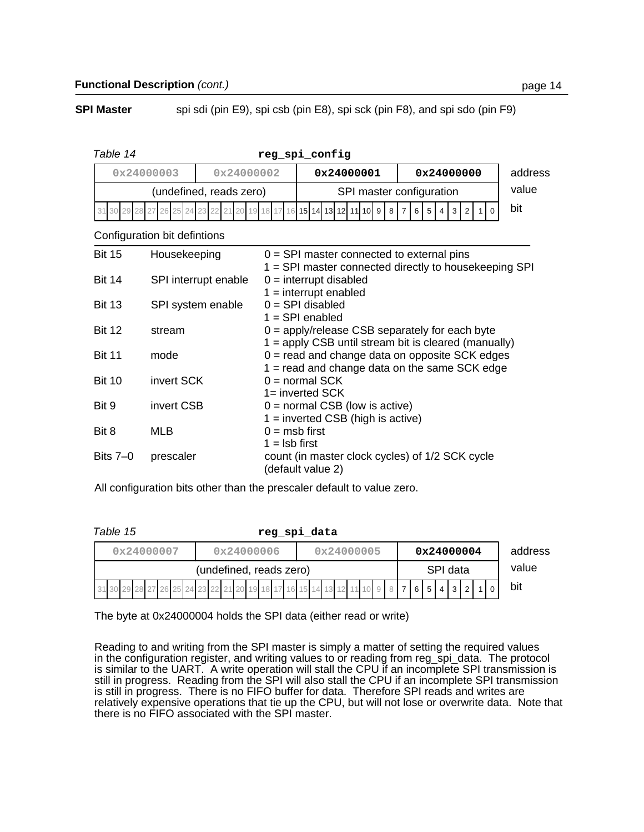**SPI Master** spi sdi (pin E9), spi csb (pin E8), spi sck (pin F8), and spi sdo (pin F9)

| Table 14   |                         | reg spi config                                                 |            |         |
|------------|-------------------------|----------------------------------------------------------------|------------|---------|
| 0x24000003 | 0x24000002              | 0x24000001                                                     | 0x24000000 | address |
|            | (undefined, reads zero) | SPI master configuration                                       | value      |         |
|            |                         | $313029282726252423222120131817161514131211109887643126161327$ |            | bit     |
|            |                         |                                                                |            |         |

Configuration bit defintions

| <b>Bit 15</b> | Housekeeping         | $0 =$ SPI master connected to external pins<br>1 = SPI master connected directly to housekeeping SPI |
|---------------|----------------------|------------------------------------------------------------------------------------------------------|
| <b>Bit 14</b> | SPI interrupt enable | $0 =$ interrupt disabled                                                                             |
|               |                      | $1 =$ interrupt enabled<br>$0 = SPI$ disabled                                                        |
| <b>Bit 13</b> | SPI system enable    | $1 = SPI$ enabled                                                                                    |
| <b>Bit 12</b> | stream               | $0 =$ apply/release CSB separately for each byte                                                     |
|               |                      | 1 = apply CSB until stream bit is cleared (manually)                                                 |
| <b>Bit 11</b> | mode                 | $0 =$ read and change data on opposite SCK edges<br>$1 =$ read and change data on the same SCK edge  |
| <b>Bit 10</b> | invert SCK           | $0 = normal SCK$                                                                                     |
|               |                      | 1= inverted SCK                                                                                      |
| Bit 9         | invert CSB           | $0 =$ normal CSB (low is active)                                                                     |
|               |                      | $1 =$ inverted CSB (high is active)                                                                  |
| Bit 8         | MLB                  | $0 = msb$ first                                                                                      |
|               |                      | $1 =$ Isb first                                                                                      |
| Bits $7-0$    | prescaler            | count (in master clock cycles) of 1/2 SCK cycle<br>(default value 2)                                 |

All configuration bits other than the prescaler default to value zero.

| Table 15                                                                          |                         | reg_spi_data |            |         |
|-----------------------------------------------------------------------------------|-------------------------|--------------|------------|---------|
| 0x24000007                                                                        | 0x24000006              | 0x24000005   | 0x24000004 | address |
|                                                                                   | (undefined, reads zero) | SPI data     | value      |         |
| 31 30 29 28 27 26 25 24 23 22 21 20 19 18 17 16 15 14 13 12 11 10 9 8 7 6 5 4 3 2 |                         |              |            | bit     |

The byte at 0x24000004 holds the SPI data (either read or write)

Reading to and writing from the SPI master is simply a matter of setting the required values in the configuration register, and writing values to or reading from reg\_spi\_data. The protocol is similar to the UART. A write operation will stall the CPU if an incomplete SPI transmission is still in progress. Reading from the SPI will also stall the CPU if an incomplete SPI transmission is still in progress. There is no FIFO buffer for data. Therefore SPI reads and writes are relatively expensive operations that tie up the CPU, but will not lose or overwrite data. Note that there is no FIFO associated with the SPI master.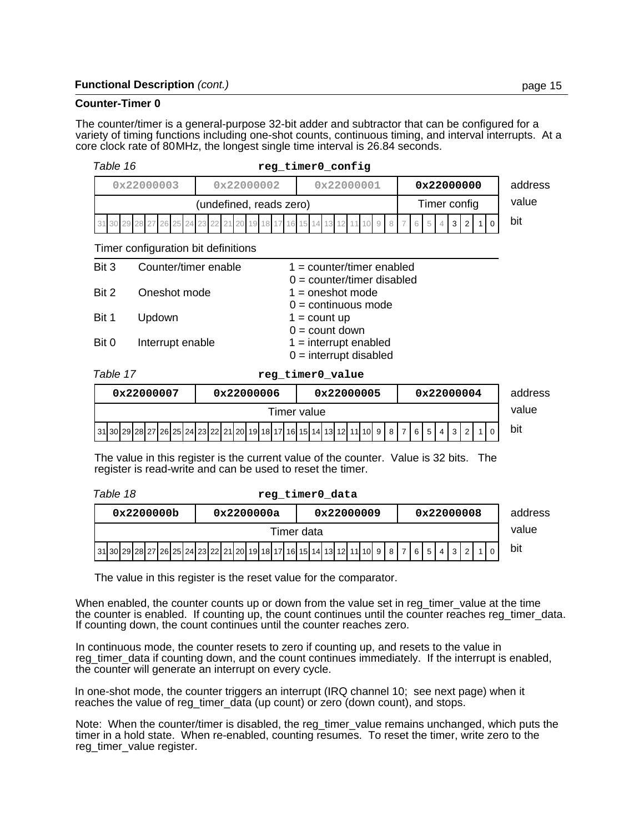#### **Counter-Timer 0**

The counter/timer is a general-purpose 32-bit adder and subtractor that can be configured for a variety of timing functions including one-shot counts, continuous timing, and interval interrupts. At a core clock rate of 80MHz, the longest single time interval is 26.84 seconds.

| Table 16       |                                     |                                                                                              | reg_timer0_config                                           |                                                                                         |         |  |  |  |  |  |  |  |
|----------------|-------------------------------------|----------------------------------------------------------------------------------------------|-------------------------------------------------------------|-----------------------------------------------------------------------------------------|---------|--|--|--|--|--|--|--|
|                | 0x22000003                          | 0x22000002                                                                                   | 0x22000001                                                  | 0x22000000                                                                              | address |  |  |  |  |  |  |  |
|                |                                     | (undefined, reads zero)                                                                      |                                                             | Timer config                                                                            | value   |  |  |  |  |  |  |  |
| 31 30 29 28 27 | 26 25 24                            | 19<br>18<br>17 16 15<br>201                                                                  | 13<br>9<br>14<br>12<br>10 <sup>1</sup>                      | 3 <sup>1</sup><br>$\overline{2}$<br>5<br>6<br>$\Omega$<br>1                             | bit     |  |  |  |  |  |  |  |
|                | Timer configuration bit definitions |                                                                                              |                                                             |                                                                                         |         |  |  |  |  |  |  |  |
| Bit 3          | Counter/timer enable                |                                                                                              | $1 = counter/time$ renabled<br>$0 = counter/timer$ disabled |                                                                                         |         |  |  |  |  |  |  |  |
| Bit 2          | Oneshot mode                        |                                                                                              | $1 =$ oneshot mode<br>$0 =$ continuous mode                 |                                                                                         |         |  |  |  |  |  |  |  |
| Bit 1          | Updown                              |                                                                                              | $1 =$ count up<br>$0 =$ count down                          |                                                                                         |         |  |  |  |  |  |  |  |
| Bit 0          | Interrupt enable                    |                                                                                              | $1 =$ interrupt enabled<br>$0 =$ interrupt disabled         |                                                                                         |         |  |  |  |  |  |  |  |
| Table 17       |                                     |                                                                                              | reg_timer0_value                                            |                                                                                         |         |  |  |  |  |  |  |  |
|                | 0x22000007                          | 0x22000006                                                                                   | 0x22000005                                                  | 0x22000004                                                                              | address |  |  |  |  |  |  |  |
|                |                                     |                                                                                              | Timer value                                                 |                                                                                         | value   |  |  |  |  |  |  |  |
|                |                                     | 31  30  29  28  27  26  25  24  23  22  21  20  19  18  17  16  15  14  13  12  11  10  9  8 |                                                             | 3 <sup>1</sup><br>6 I<br>5 <sup>1</sup><br>$\overline{2}$<br>$\vert$<br>$\Omega$<br>1 I | bit     |  |  |  |  |  |  |  |
|                |                                     | The value in this register is the current value of the counter $\Delta$ Value is 32 hits     |                                                             | The                                                                                     |         |  |  |  |  |  |  |  |

ie in this register is the current value of the counter. Value is 32 bits. The register is read-write and can be used to reset the timer.

| Table 18                                                                                                           |            | reg timer0 data |            |         |
|--------------------------------------------------------------------------------------------------------------------|------------|-----------------|------------|---------|
| 0x2200000b                                                                                                         | 0x2200000a | 0x22000009      | 0x22000008 | address |
| Timer data                                                                                                         |            |                 |            | value   |
| 31  30  29  28  27  26  25  24  23  22  21  20  19  19  19  17  16  15  14  13  12  11  10  9  8  7  6  5  4  3  2 |            |                 |            | bit     |

The value in this register is the reset value for the comparator.

When enabled, the counter counts up or down from the value set in reg\_timer\_value at the time the counter is enabled. If counting up, the count continues until the counter reaches reg\_timer\_data. If counting down, the count continues until the counter reaches zero.

In continuous mode, the counter resets to zero if counting up, and resets to the value in reg\_timer\_data if counting down, and the count continues immediately. If the interrupt is enabled, the counter will generate an interrupt on every cycle.

In one-shot mode, the counter triggers an interrupt (IRQ channel 10; see next page) when it reaches the value of reg\_timer\_data (up count) or zero (down count), and stops.

Note: When the counter/timer is disabled, the reg\_timer\_value remains unchanged, which puts the timer in a hold state. When re-enabled, counting resumes. To reset the timer, write zero to the reg\_timer\_value register.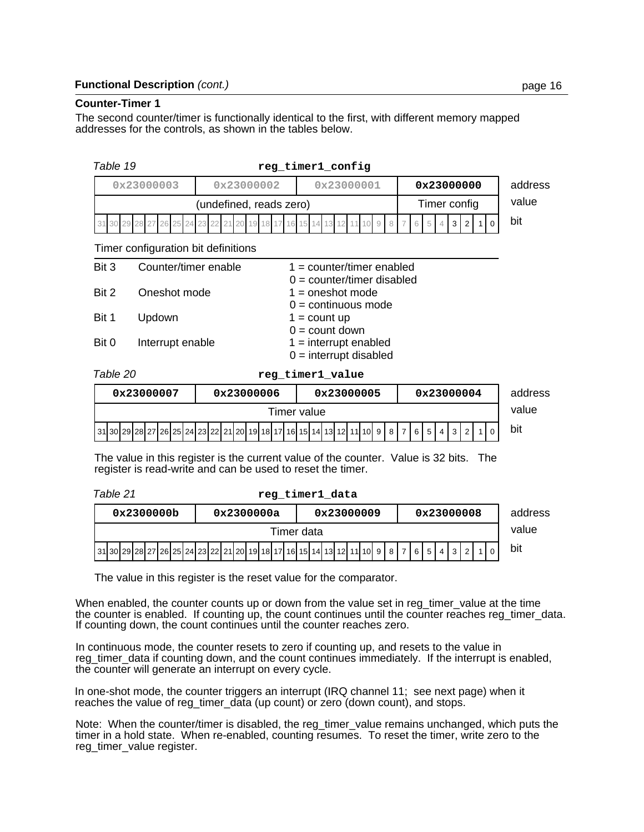#### **Counter-Timer 1**

The second counter/timer is functionally identical to the first, with different memory mapped addresses for the controls, as shown in the tables below.

| Table 19                                                                                                                                                        |                                                                                                                                                                                                     |            | reg timer1 config            |            |         |
|-----------------------------------------------------------------------------------------------------------------------------------------------------------------|-----------------------------------------------------------------------------------------------------------------------------------------------------------------------------------------------------|------------|------------------------------|------------|---------|
|                                                                                                                                                                 | 0x23000003                                                                                                                                                                                          | 0x23000002 | 0x23000001                   | 0x23000000 | address |
| (undefined, reads zero)<br>Timer config                                                                                                                         |                                                                                                                                                                                                     |            |                              | value      |         |
| 3<br>2<br>31 30 29 28 27<br>8<br>6<br>5<br>16 15<br>14 13 12<br>$\Omega$<br>7<br>$\overline{4}$<br>26 25<br>19<br>18<br>11<br>$\Omega$<br>10 <sup>1</sup><br>24 |                                                                                                                                                                                                     |            |                              | bit        |         |
| Timer configuration bit definitions                                                                                                                             |                                                                                                                                                                                                     |            |                              |            |         |
| Bit 3<br>Counter/timer enable<br>$1 = \text{counter/timer enabled}$                                                                                             |                                                                                                                                                                                                     |            |                              |            |         |
|                                                                                                                                                                 |                                                                                                                                                                                                     |            | $0 = counter/timer$ disabled |            |         |
| Bit 2                                                                                                                                                           | Oneshot mode                                                                                                                                                                                        |            | $1 =$ oneshot mode           |            |         |
|                                                                                                                                                                 |                                                                                                                                                                                                     |            | $0 =$ continuous mode        |            |         |
| Bit 1                                                                                                                                                           | Updown                                                                                                                                                                                              |            | $1 =$ count up               |            |         |
|                                                                                                                                                                 | $0 = \text{count down}$                                                                                                                                                                             |            |                              |            |         |
| Bit 0<br>Interrupt enable<br>$1 =$ interrupt enabled<br>$0 =$ interrupt disabled                                                                                |                                                                                                                                                                                                     |            |                              |            |         |
|                                                                                                                                                                 |                                                                                                                                                                                                     |            |                              |            |         |
| Table 20<br>reg timer1 value                                                                                                                                    |                                                                                                                                                                                                     |            |                              |            |         |
|                                                                                                                                                                 | 0x23000007                                                                                                                                                                                          | 0x23000006 | 0x23000005                   | 0x23000004 | address |
| Timer value                                                                                                                                                     |                                                                                                                                                                                                     |            |                              | value      |         |
|                                                                                                                                                                 | 31 30 29 28 27 26 25 24 23 22 21 20 19 18 17 16 15 14 13 12 11 10 9<br>6 <sup>1</sup><br>5 <sup>1</sup><br>2<br>8 <sup>1</sup><br>$\overline{7}$<br>$\overline{4}$<br>3<br>$\Omega$<br>$\mathbf{1}$ |            |                              |            | bit     |
|                                                                                                                                                                 |                                                                                                                                                                                                     |            |                              |            |         |
| The value in this register is the current value of the counter. Value is 32 bits.<br>The                                                                        |                                                                                                                                                                                                     |            |                              |            |         |
| register is read-write and can be used to reset the timer.                                                                                                      |                                                                                                                                                                                                     |            |                              |            |         |
|                                                                                                                                                                 |                                                                                                                                                                                                     |            |                              |            |         |
| Table 21<br>reg timer1 data                                                                                                                                     |                                                                                                                                                                                                     |            |                              |            |         |
|                                                                                                                                                                 | 0x2300000b                                                                                                                                                                                          | 0x2300000a | 0x23000009                   | 0x23000008 | address |
| Timer data                                                                                                                                                      |                                                                                                                                                                                                     |            |                              | value      |         |

The value in this register is the reset value for the comparator.

When enabled, the counter counts up or down from the value set in reg\_timer\_value at the time the counter is enabled. If counting up, the count continues until the counter reaches reg\_timer\_data. If counting down, the count continues until the counter reaches zero.

 $31$  30 29 28 27 26 25 24 23 22 21 20 19 18 17 16 15 14 13 12 11 10 9 8 7 6 5 4  $3$  2 1 0  $\,$ 

In continuous mode, the counter resets to zero if counting up, and resets to the value in reg\_timer\_data if counting down, and the count continues immediately. If the interrupt is enabled, the counter will generate an interrupt on every cycle.

In one-shot mode, the counter triggers an interrupt (IRQ channel 11; see next page) when it reaches the value of reg\_timer\_data (up count) or zero (down count), and stops.

Note: When the counter/timer is disabled, the reg\_timer\_value remains unchanged, which puts the timer in a hold state. When re-enabled, counting resumes. To reset the timer, write zero to the reg\_timer\_value register.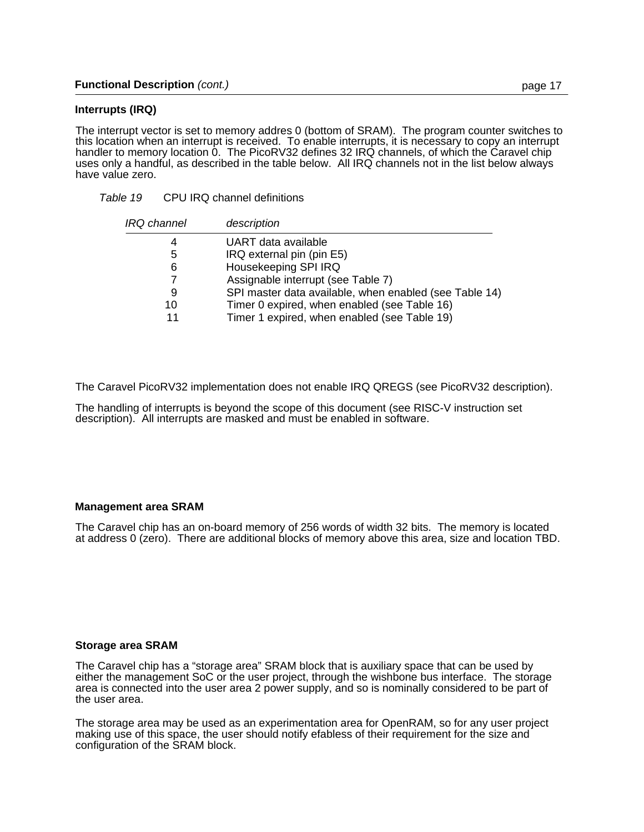#### **Interrupts (IRQ)**

The interrupt vector is set to memory addres 0 (bottom of SRAM). The program counter switches to this location when an interrupt is received. To enable interrupts, it is necessary to copy an interrupt handler to memory location 0. The PicoRV32 defines 32 IRQ channels, of which the Caravel chip uses only a handful, as described in the table below. All IRQ channels not in the list below always have value zero.

| IRQ channel | description                                            |
|-------------|--------------------------------------------------------|
| 4           | UART data available                                    |
| 5           | IRQ external pin (pin E5)                              |
| 6           | Housekeeping SPI IRQ                                   |
|             | Assignable interrupt (see Table 7)                     |
| 9           | SPI master data available, when enabled (see Table 14) |
| 10          | Timer 0 expired, when enabled (see Table 16)           |
| 11          | Timer 1 expired, when enabled (see Table 19)           |

The Caravel PicoRV32 implementation does not enable IRQ QREGS (see PicoRV32 description).

The handling of interrupts is beyond the scope of this document (see RISC-V instruction set description). All interrupts are masked and must be enabled in software.

#### **Management area SRAM**

The Caravel chip has an on-board memory of 256 words of width 32 bits. The memory is located at address 0 (zero). There are additional blocks of memory above this area, size and location TBD.

#### **Storage area SRAM**

The Caravel chip has a "storage area" SRAM block that is auxiliary space that can be used by either the management SoC or the user project, through the wishbone bus interface. The storage area is connected into the user area 2 power supply, and so is nominally considered to be part of the user area.

The storage area may be used as an experimentation area for OpenRAM, so for any user project making use of this space, the user should notify efabless of their requirement for the size and configuration of the SRAM block.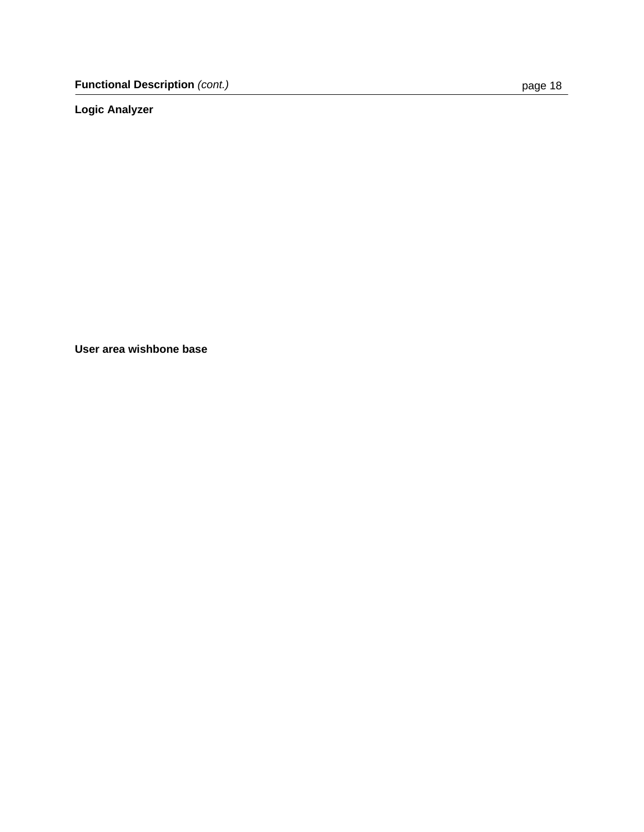### **Logic Analyzer**

**User area wishbone base**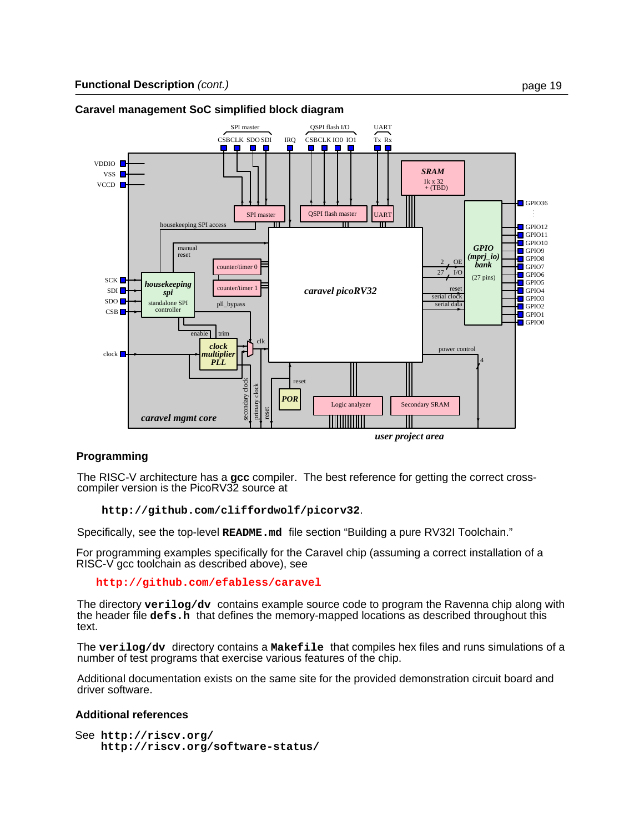

#### **Caravel management SoC simplified block diagram**

*user project area*

### **Programming**

The RISC-V architecture has a **gcc** compiler. The best reference for getting the correct crosscompiler version is the PicoRV32 source at

**http://github.com/cliffordwolf/picorv32**.

Specifically, see the top-level **README.md** file section "Building a pure RV32I Toolchain."

For programming examples specifically for the Caravel chip (assuming a correct installation of a RISC-V gcc toolchain as described above), see

**http://github.com/efabless/caravel**

The directory **verilog/dv** contains example source code to program the Ravenna chip along with the header file **defs.h** that defines the memory-mapped locations as described throughout this text.

The **verilog/dv** directory contains a **Makefile** that compiles hex files and runs simulations of a number of test programs that exercise various features of the chip.

Additional documentation exists on the same site for the provided demonstration circuit board and driver software.

#### **Additional references**

```
See http://riscv.org/
   http://riscv.org/software-status/
```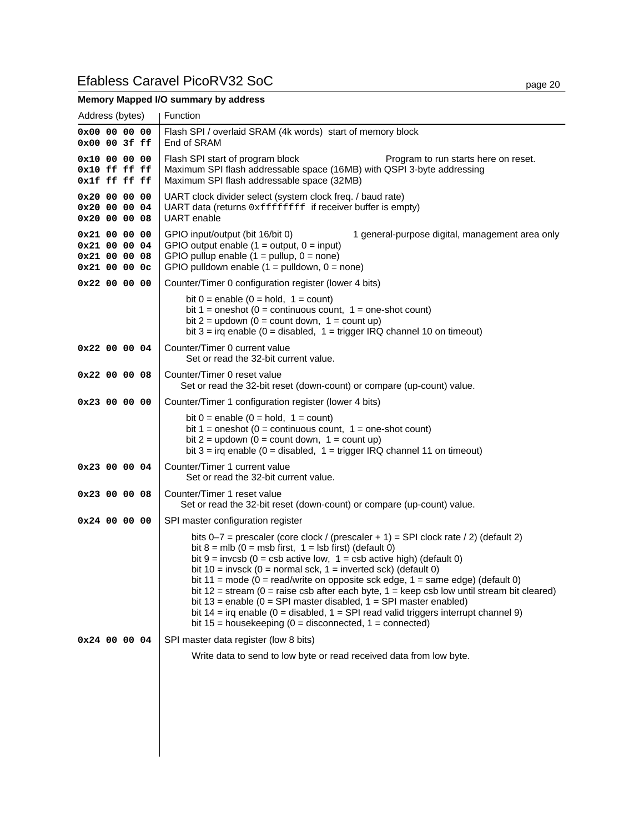## Efabless Caravel PicoRV32 SoC page 20

### **Memory Mapped I/O summary by address**

| Address (bytes)                                            | <b>Function</b>                                                                                                                                                                                                                                                                                                                                                                                                                                                                                                                                                                                                                                                                                                                   |  |  |  |
|------------------------------------------------------------|-----------------------------------------------------------------------------------------------------------------------------------------------------------------------------------------------------------------------------------------------------------------------------------------------------------------------------------------------------------------------------------------------------------------------------------------------------------------------------------------------------------------------------------------------------------------------------------------------------------------------------------------------------------------------------------------------------------------------------------|--|--|--|
| 0x00 00 00 00<br>0x00 00 3f ff                             | Flash SPI / overlaid SRAM (4k words) start of memory block<br>End of SRAM                                                                                                                                                                                                                                                                                                                                                                                                                                                                                                                                                                                                                                                         |  |  |  |
| 0x10 00 00 00<br>0x10 ff ff ff<br>0x1f ff ff ff            | Flash SPI start of program block<br>Program to run starts here on reset.<br>Maximum SPI flash addressable space (16MB) with QSPI 3-byte addressing<br>Maximum SPI flash addressable space (32MB)                                                                                                                                                                                                                                                                                                                                                                                                                                                                                                                                  |  |  |  |
| 0x20 00 00 00<br>0x20 00 00 04<br>0x20 00 00 08            | UART clock divider select (system clock freq. / baud rate)<br>UART data (returns 0xffffffff if receiver buffer is empty)<br><b>UART</b> enable                                                                                                                                                                                                                                                                                                                                                                                                                                                                                                                                                                                    |  |  |  |
| 0x21 00 00 00<br>0x21000004<br>0x21 00 00 08<br>0x2100000c | GPIO input/output (bit 16/bit 0)<br>1 general-purpose digital, management area only<br>GPIO output enable $(1 = output, 0 = input)$<br>GPIO pullup enable $(1 =$ pullup, $0 =$ none)<br>GPIO pulldown enable $(1 =$ pulldown, $0 =$ none)                                                                                                                                                                                                                                                                                                                                                                                                                                                                                         |  |  |  |
| 0x22000000                                                 | Counter/Timer 0 configuration register (lower 4 bits)                                                                                                                                                                                                                                                                                                                                                                                                                                                                                                                                                                                                                                                                             |  |  |  |
|                                                            | bit $0 =$ enable $(0 =$ hold, $1 =$ count)<br>bit $1 =$ oneshot (0 = continuous count, $1 =$ one-shot count)<br>bit $2 =$ updown (0 = count down, 1 = count up)<br>bit $3 = \text{irq enable } (0 = \text{disabeled}, 1 = \text{trigger} \cdot \text{IRQ channel } 10 \text{ on timeout})$                                                                                                                                                                                                                                                                                                                                                                                                                                        |  |  |  |
| 0x22 00 00 04                                              | Counter/Timer 0 current value<br>Set or read the 32-bit current value.                                                                                                                                                                                                                                                                                                                                                                                                                                                                                                                                                                                                                                                            |  |  |  |
| 0x22000008                                                 | Counter/Timer 0 reset value<br>Set or read the 32-bit reset (down-count) or compare (up-count) value.                                                                                                                                                                                                                                                                                                                                                                                                                                                                                                                                                                                                                             |  |  |  |
| 0x23000000                                                 | Counter/Timer 1 configuration register (lower 4 bits)                                                                                                                                                                                                                                                                                                                                                                                                                                                                                                                                                                                                                                                                             |  |  |  |
|                                                            | bit $0 =$ enable $(0 =$ hold, $1 =$ count)<br>bit $1 =$ oneshot (0 = continuous count, $1 =$ one-shot count)<br>bit $2 =$ updown (0 = count down, 1 = count up)<br>bit $3 = \text{irq enable } (0 = \text{disabeled}, 1 = \text{trigger} \, \text{IRQ channel} \, 11 \, \text{on timeout})$                                                                                                                                                                                                                                                                                                                                                                                                                                       |  |  |  |
| 0x23 00 00 04                                              | Counter/Timer 1 current value<br>Set or read the 32-bit current value.                                                                                                                                                                                                                                                                                                                                                                                                                                                                                                                                                                                                                                                            |  |  |  |
| 0x23 00 00 08                                              | Counter/Timer 1 reset value<br>Set or read the 32-bit reset (down-count) or compare (up-count) value.                                                                                                                                                                                                                                                                                                                                                                                                                                                                                                                                                                                                                             |  |  |  |
| 0x24000000                                                 | SPI master configuration register                                                                                                                                                                                                                                                                                                                                                                                                                                                                                                                                                                                                                                                                                                 |  |  |  |
|                                                            | bits $0-7$ = prescaler (core clock / (prescaler + 1) = SPI clock rate / 2) (default 2)<br>bit $8 =$ mlb (0 = msb first, 1 = lsb first) (default 0)<br>bit $9 =$ invcsb (0 = csb active low, 1 = csb active high) (default 0)<br>bit 10 = invsck (0 = normal sck, 1 = inverted sck) (default 0)<br>bit 11 = mode ( $0 = \text{read}/\text{write}$ on opposite sck edge, 1 = same edge) (default 0)<br>bit $12$ = stream (0 = raise csb after each byte, 1 = keep csb low until stream bit cleared)<br>bit 13 = enable ( $0 = SPI$ master disabled, $1 = SPI$ master enabled)<br>bit $14$ = irq enable (0 = disabled, 1 = SPI read valid triggers interrupt channel 9)<br>bit $15$ = housekeeping (0 = disconnected, 1 = connected) |  |  |  |
| 0x24 00 00 04                                              | SPI master data register (low 8 bits)                                                                                                                                                                                                                                                                                                                                                                                                                                                                                                                                                                                                                                                                                             |  |  |  |
|                                                            | Write data to send to low byte or read received data from low byte.                                                                                                                                                                                                                                                                                                                                                                                                                                                                                                                                                                                                                                                               |  |  |  |
|                                                            |                                                                                                                                                                                                                                                                                                                                                                                                                                                                                                                                                                                                                                                                                                                                   |  |  |  |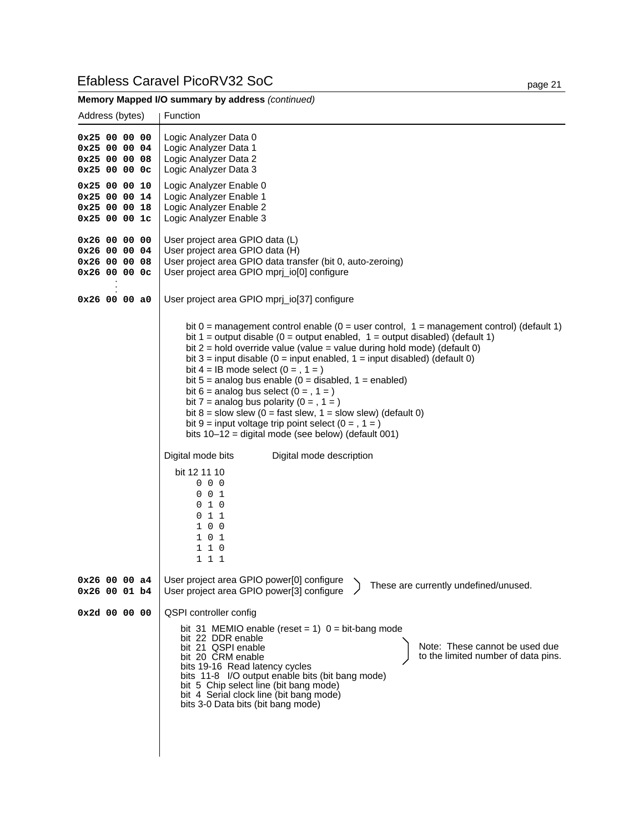## Efabless Caravel PicoRV32 SoC page 21

| Memory Mapped I/O summary by address (continued)                 |                                                                                                                                                                                                                                                                                                                                                                                                                                                                                                                                                                                                                                                                                                                                                                                                                                                 |  |  |
|------------------------------------------------------------------|-------------------------------------------------------------------------------------------------------------------------------------------------------------------------------------------------------------------------------------------------------------------------------------------------------------------------------------------------------------------------------------------------------------------------------------------------------------------------------------------------------------------------------------------------------------------------------------------------------------------------------------------------------------------------------------------------------------------------------------------------------------------------------------------------------------------------------------------------|--|--|
| Address (bytes)                                                  | Function                                                                                                                                                                                                                                                                                                                                                                                                                                                                                                                                                                                                                                                                                                                                                                                                                                        |  |  |
| 0x25 00 00 00<br>0x25 00 00 04<br>0x25 00 00 08<br>0x25 00 00 0c | Logic Analyzer Data 0<br>Logic Analyzer Data 1<br>Logic Analyzer Data 2<br>Logic Analyzer Data 3                                                                                                                                                                                                                                                                                                                                                                                                                                                                                                                                                                                                                                                                                                                                                |  |  |
| 0x25 00 00 10<br>0x25 00 00 14<br>0x25 00 00 18<br>0x25 00 00 1c | Logic Analyzer Enable 0<br>Logic Analyzer Enable 1<br>Logic Analyzer Enable 2<br>Logic Analyzer Enable 3                                                                                                                                                                                                                                                                                                                                                                                                                                                                                                                                                                                                                                                                                                                                        |  |  |
| 0x26 00 00 00<br>0x26 00 00 04<br>0x26 00 00 08<br>0x26 00 00 0c | User project area GPIO data (L)<br>User project area GPIO data (H)<br>User project area GPIO data transfer (bit 0, auto-zeroing)<br>User project area GPIO mprj_io[0] configure                                                                                                                                                                                                                                                                                                                                                                                                                                                                                                                                                                                                                                                                 |  |  |
| 0x260000a0                                                       | User project area GPIO mprj_io[37] configure                                                                                                                                                                                                                                                                                                                                                                                                                                                                                                                                                                                                                                                                                                                                                                                                    |  |  |
|                                                                  | bit $0 =$ management control enable ( $0 =$ user control, $1 =$ management control) (default 1)<br>bit $1 =$ output disable (0 = output enabled, $1 =$ output disabled) (default 1)<br>bit $2$ = hold override value (value = value during hold mode) (default 0)<br>bit $3$ = input disable (0 = input enabled, 1 = input disabled) (default 0)<br>bit $4 = IB$ mode select $(0 = 1, 1)$<br>bit $5 =$ analog bus enable (0 = disabled, 1 = enabled)<br>bit $6 =$ analog bus select $(0 = 1, 1 = 1)$<br>bit $7 =$ analog bus polarity $(0 = 1, 1 = 1)$<br>bit $8 =$ slow slew (0 = fast slew, 1 = slow slew) (default 0)<br>bit 9 = input voltage trip point select $(0 = 1, 1)$<br>bits $10-12$ = digital mode (see below) (default 001)<br>Digital mode description<br>Digital mode bits<br>bit 12 11 10<br>$0\quad 0\quad 0$<br>0 0 1<br>010 |  |  |
|                                                                  | 011<br>1 0 0<br>101<br>110                                                                                                                                                                                                                                                                                                                                                                                                                                                                                                                                                                                                                                                                                                                                                                                                                      |  |  |
|                                                                  | 1 1 1                                                                                                                                                                                                                                                                                                                                                                                                                                                                                                                                                                                                                                                                                                                                                                                                                                           |  |  |
| 0x260000a4<br>0x26 00 01 b4                                      | User project area GPIO power[0] configure<br>These are currently undefined/unused.<br>User project area GPIO power[3] configure                                                                                                                                                                                                                                                                                                                                                                                                                                                                                                                                                                                                                                                                                                                 |  |  |
| $0x2d$ 00 00 00                                                  | QSPI controller config                                                                                                                                                                                                                                                                                                                                                                                                                                                                                                                                                                                                                                                                                                                                                                                                                          |  |  |
|                                                                  | bit 31 MEMIO enable (reset = 1) $0 = bit$ -bang mode<br>bit 22 DDR enable<br>Note: These cannot be used due<br>bit 21 QSPI enable<br>to the limited number of data pins.<br>bit 20 CRM enable<br>bits 19-16 Read latency cycles<br>bits 11-8 I/O output enable bits (bit bang mode)<br>bit 5 Chip select line (bit bang mode)<br>bit 4 Serial clock line (bit bang mode)<br>bits 3-0 Data bits (bit bang mode)                                                                                                                                                                                                                                                                                                                                                                                                                                  |  |  |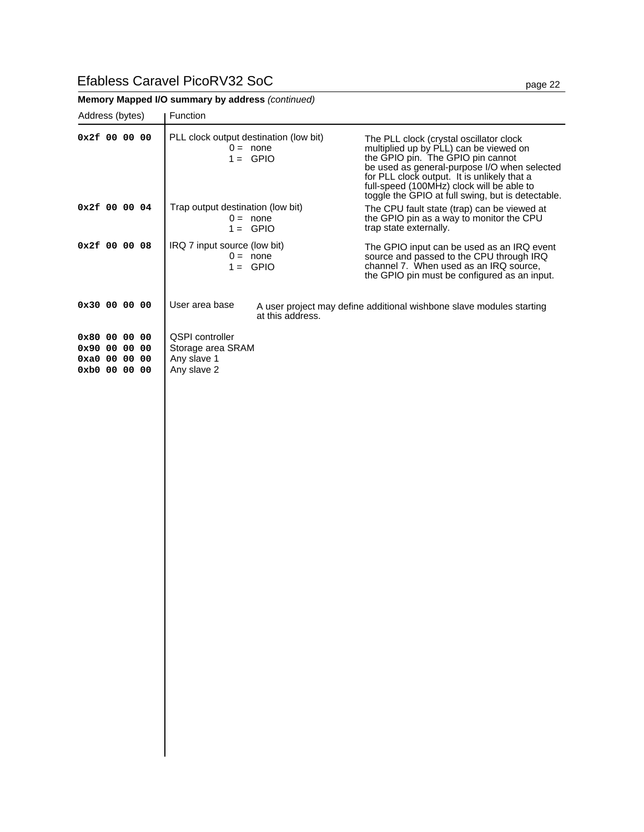### Efabless Caravel PicoRV32 SoC

 $\overline{\phantom{a}}$ 

|                                                                         | Memory Mapped I/O summary by address (continued)                   |                                                                                                                                                                                                                                                                                                                         |
|-------------------------------------------------------------------------|--------------------------------------------------------------------|-------------------------------------------------------------------------------------------------------------------------------------------------------------------------------------------------------------------------------------------------------------------------------------------------------------------------|
| Address (bytes)                                                         | Function                                                           |                                                                                                                                                                                                                                                                                                                         |
| 0x2f 00 00 00                                                           | PLL clock output destination (low bit)<br>$0 = none$<br>$1 =$ GPIO | The PLL clock (crystal oscillator clock<br>multiplied up by PLL) can be viewed on<br>the GPIO pin. The GPIO pin cannot<br>be used as general-purpose I/O when selected<br>for PLL clock output. It is unlikely that a<br>full-speed (100MHz) clock will be able to<br>toggle the GPIO at full swing, but is detectable. |
| 0x2f 00 00 04                                                           | Trap output destination (low bit)<br>$0 = none$<br>$1 =$ GPIO      | The CPU fault state (trap) can be viewed at<br>the GPIO pin as a way to monitor the CPU<br>trap state externally.                                                                                                                                                                                                       |
| 0x2f 00 00 08                                                           | IRQ 7 input source (low bit)<br>$0 = none$<br>$1 =$ GPIO           | The GPIO input can be used as an IRQ event<br>source and passed to the CPU through IRQ<br>channel 7. When used as an IRQ source,<br>the GPIO pin must be configured as an input.                                                                                                                                        |
| 0x30 00 00 00                                                           | User area base<br>at this address.                                 | A user project may define additional wishbone slave modules starting                                                                                                                                                                                                                                                    |
| $0 \times 80$ 00 00 00<br>0x90 00 00 00<br>0xa0 00 00 00<br>0xb00000000 | QSPI controller<br>Storage area SRAM<br>Any slave 1<br>Any slave 2 |                                                                                                                                                                                                                                                                                                                         |
|                                                                         |                                                                    |                                                                                                                                                                                                                                                                                                                         |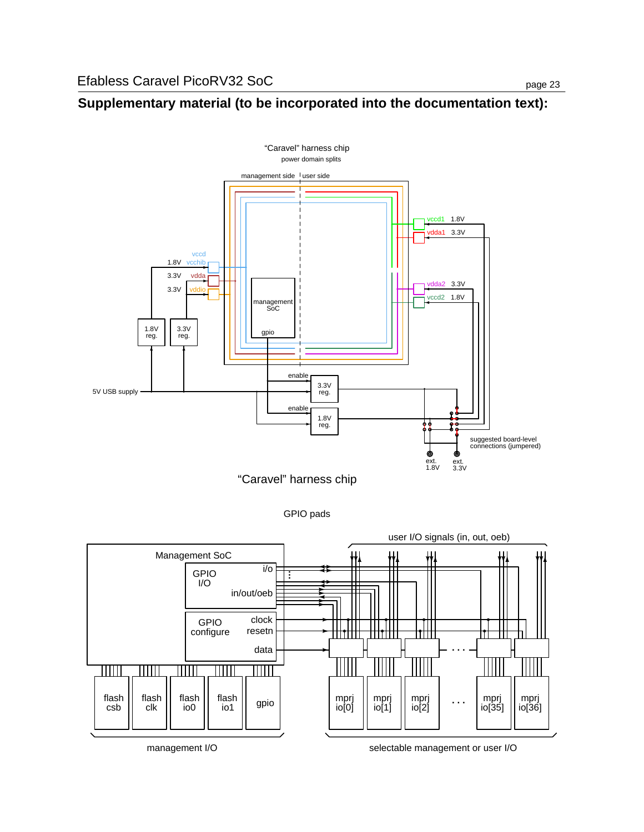

GPIO pads

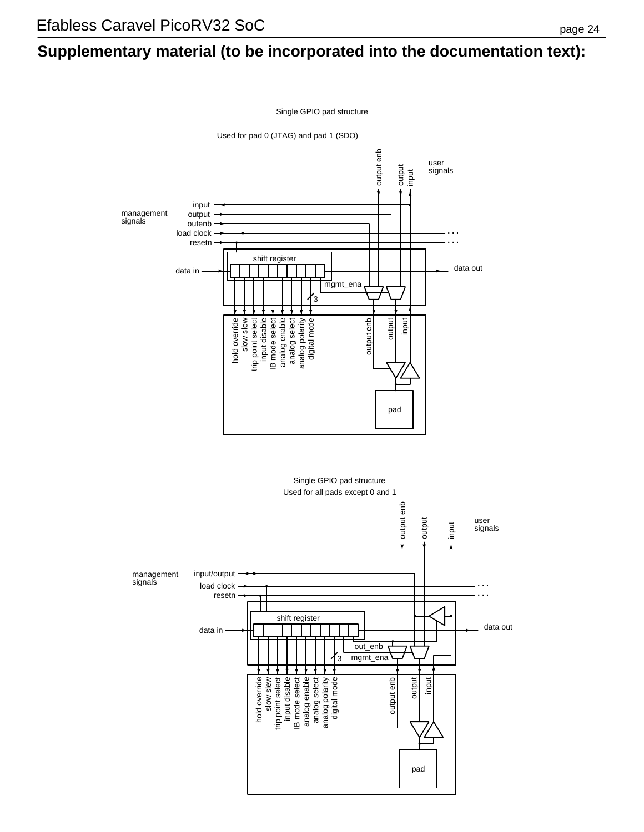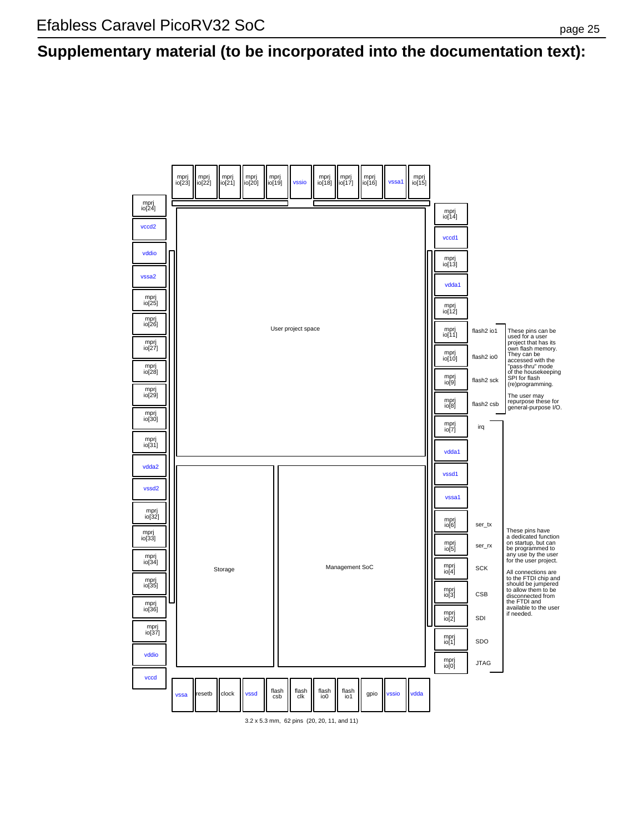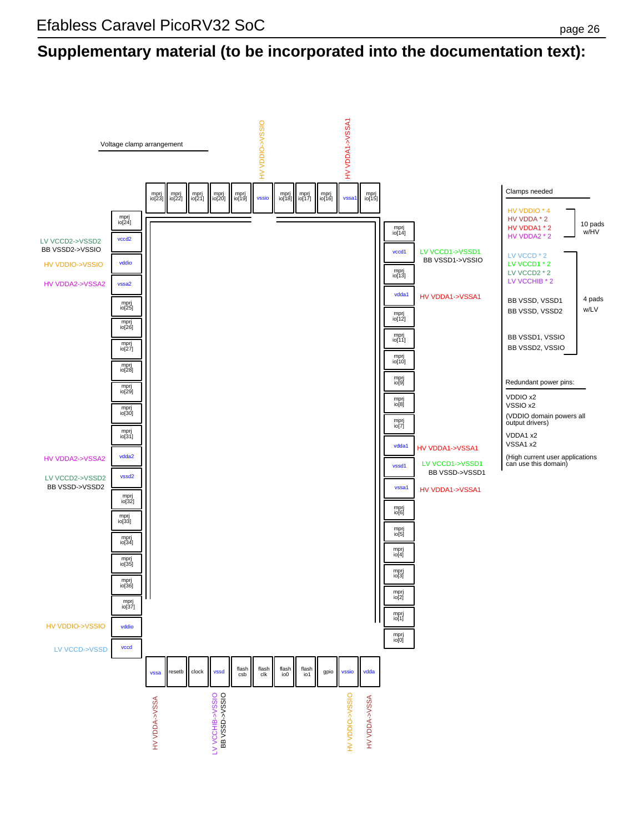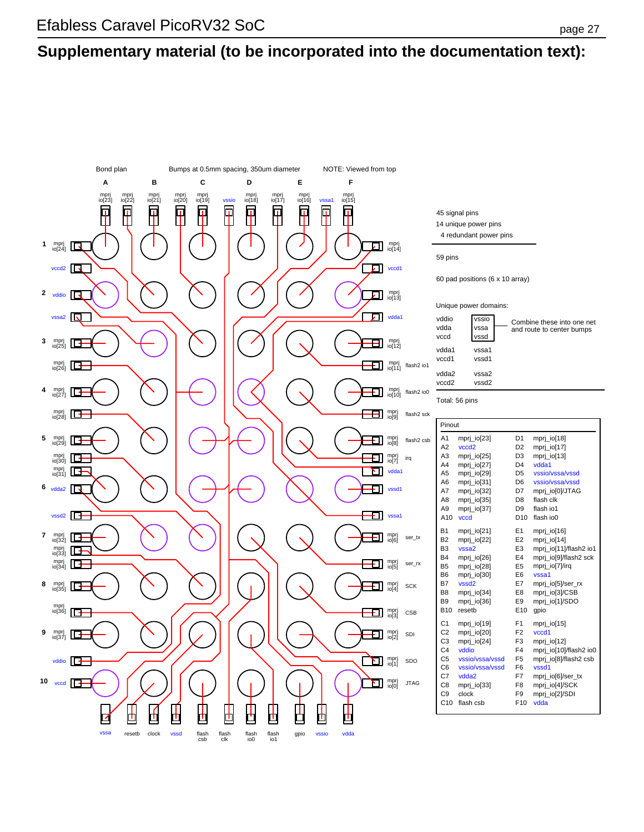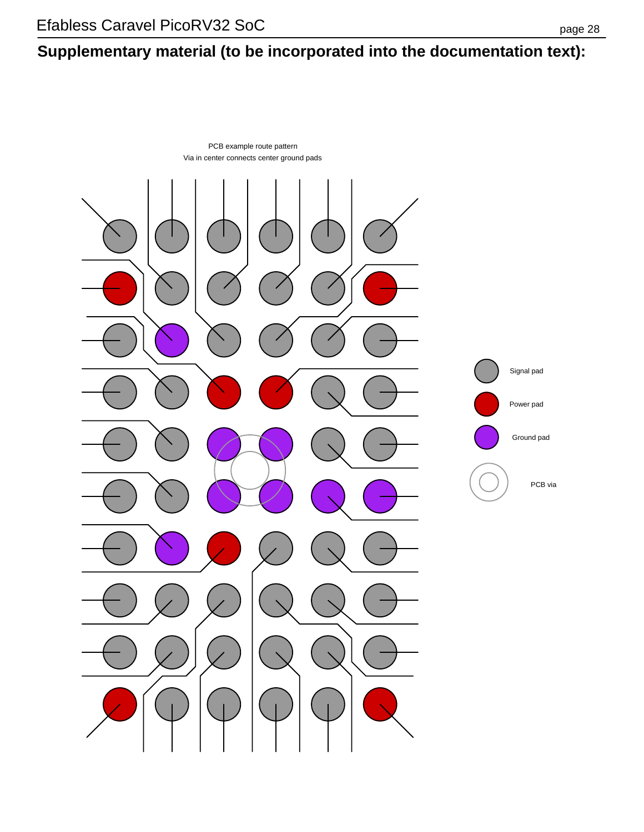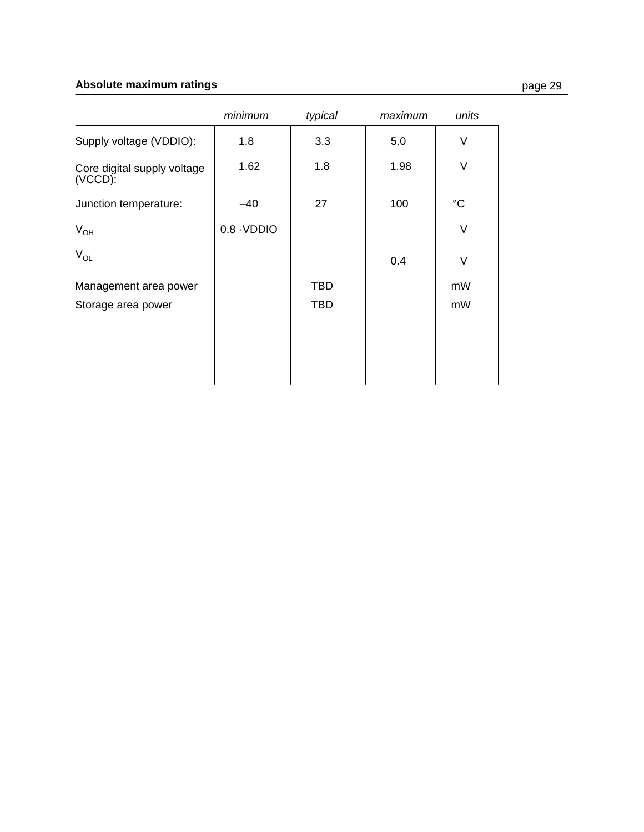### **Absolute maximum ratings**

|                                           | minimum           | typical    | maximum | units       |
|-------------------------------------------|-------------------|------------|---------|-------------|
| Supply voltage (VDDIO):                   | 1.8               | 3.3        | 5.0     | V           |
| Core digital supply voltage<br>$(VCCD)$ : | 1.62              | 1.8        | 1.98    | V           |
| Junction temperature:                     | $-40$             | 27         | 100     | $^{\circ}C$ |
| $V_{OH}$                                  | $0.8 \cdot VDDIO$ |            |         | V           |
| $V_{OL}$                                  |                   |            | 0.4     | V           |
| Management area power                     |                   | <b>TBD</b> |         | mW          |
| Storage area power                        |                   | <b>TBD</b> |         | mW          |
|                                           |                   |            |         |             |
|                                           |                   |            |         |             |
|                                           |                   |            |         |             |
|                                           |                   |            |         |             |

### page 29